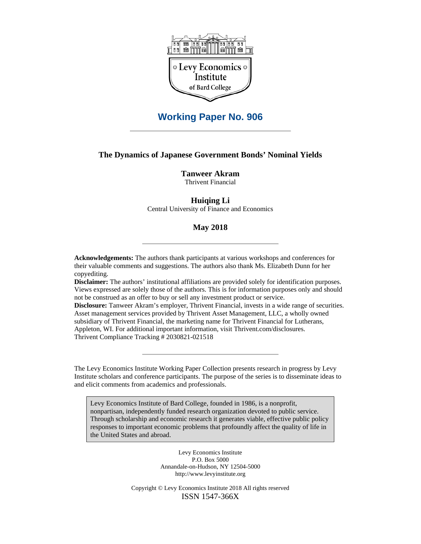

# **Working Paper No. 906**

#### **The Dynamics of Japanese Government Bonds' Nominal Yields**

**Tanweer Akram** 

Thrivent Financial

#### **Huiqing Li**

Central University of Finance and Economics

#### **May 2018**

**Acknowledgements:** The authors thank participants at various workshops and conferences for their valuable comments and suggestions. The authors also thank Ms. Elizabeth Dunn for her copyediting.

**Disclaimer:** The authors' institutional affiliations are provided solely for identification purposes. Views expressed are solely those of the authors. This is for information purposes only and should not be construed as an offer to buy or sell any investment product or service.

**Disclosure:** Tanweer Akram's employer, Thrivent Financial, invests in a wide range of securities. Asset management services provided by Thrivent Asset Management, LLC, a wholly owned subsidiary of Thrivent Financial, the marketing name for Thrivent Financial for Lutherans, Appleton, WI. For additional important information, visit Thrivent.com/disclosures. Thrivent Compliance Tracking # 2030821-021518

The Levy Economics Institute Working Paper Collection presents research in progress by Levy Institute scholars and conference participants. The purpose of the series is to disseminate ideas to and elicit comments from academics and professionals.

Levy Economics Institute of Bard College, founded in 1986, is a nonprofit, nonpartisan, independently funded research organization devoted to public service. Through scholarship and economic research it generates viable, effective public policy responses to important economic problems that profoundly affect the quality of life in the United States and abroad.

> Levy Economics Institute P.O. Box 5000 Annandale-on-Hudson, NY 12504-5000 http://www.levyinstitute.org

Copyright © Levy Economics Institute 2018 All rights reserved ISSN 1547-366X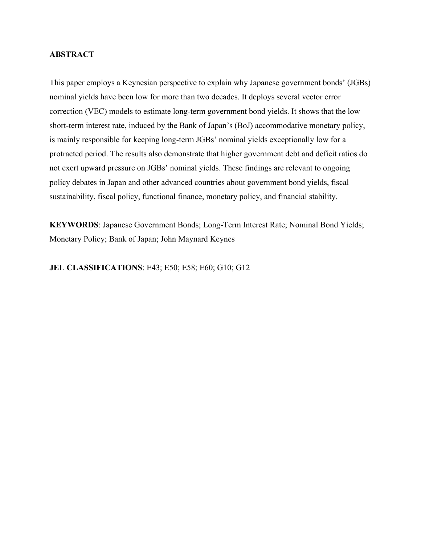#### **ABSTRACT**

This paper employs a Keynesian perspective to explain why Japanese government bonds' (JGBs) nominal yields have been low for more than two decades. It deploys several vector error correction (VEC) models to estimate long-term government bond yields. It shows that the low short-term interest rate, induced by the Bank of Japan's (BoJ) accommodative monetary policy, is mainly responsible for keeping long-term JGBs' nominal yields exceptionally low for a protracted period. The results also demonstrate that higher government debt and deficit ratios do not exert upward pressure on JGBs' nominal yields. These findings are relevant to ongoing policy debates in Japan and other advanced countries about government bond yields, fiscal sustainability, fiscal policy, functional finance, monetary policy, and financial stability.

**KEYWORDS**: Japanese Government Bonds; Long-Term Interest Rate; Nominal Bond Yields; Monetary Policy; Bank of Japan; John Maynard Keynes

**JEL CLASSIFICATIONS**: E43; E50; E58; E60; G10; G12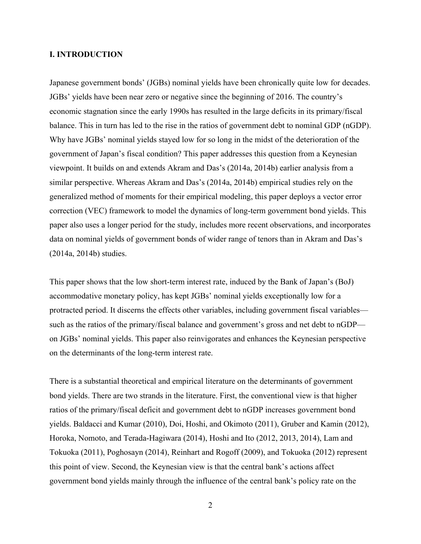#### **I. INTRODUCTION**

Japanese government bonds' (JGBs) nominal yields have been chronically quite low for decades. JGBs' yields have been near zero or negative since the beginning of 2016. The country's economic stagnation since the early 1990s has resulted in the large deficits in its primary/fiscal balance. This in turn has led to the rise in the ratios of government debt to nominal GDP (nGDP). Why have JGBs' nominal yields stayed low for so long in the midst of the deterioration of the government of Japan's fiscal condition? This paper addresses this question from a Keynesian viewpoint. It builds on and extends Akram and Das's (2014a, 2014b) earlier analysis from a similar perspective. Whereas Akram and Das's (2014a, 2014b) empirical studies rely on the generalized method of moments for their empirical modeling, this paper deploys a vector error correction (VEC) framework to model the dynamics of long-term government bond yields. This paper also uses a longer period for the study, includes more recent observations, and incorporates data on nominal yields of government bonds of wider range of tenors than in Akram and Das's (2014a, 2014b) studies.

This paper shows that the low short-term interest rate, induced by the Bank of Japan's (BoJ) accommodative monetary policy, has kept JGBs' nominal yields exceptionally low for a protracted period. It discerns the effects other variables, including government fiscal variables such as the ratios of the primary/fiscal balance and government's gross and net debt to nGDP on JGBs' nominal yields. This paper also reinvigorates and enhances the Keynesian perspective on the determinants of the long-term interest rate.

There is a substantial theoretical and empirical literature on the determinants of government bond yields. There are two strands in the literature. First, the conventional view is that higher ratios of the primary/fiscal deficit and government debt to nGDP increases government bond yields. Baldacci and Kumar (2010), Doi, Hoshi, and Okimoto (2011), Gruber and Kamin (2012), Horoka, Nomoto, and Terada-Hagiwara (2014), Hoshi and Ito (2012, 2013, 2014), Lam and Tokuoka (2011), Poghosayn (2014), Reinhart and Rogoff (2009), and Tokuoka (2012) represent this point of view. Second, the Keynesian view is that the central bank's actions affect government bond yields mainly through the influence of the central bank's policy rate on the

2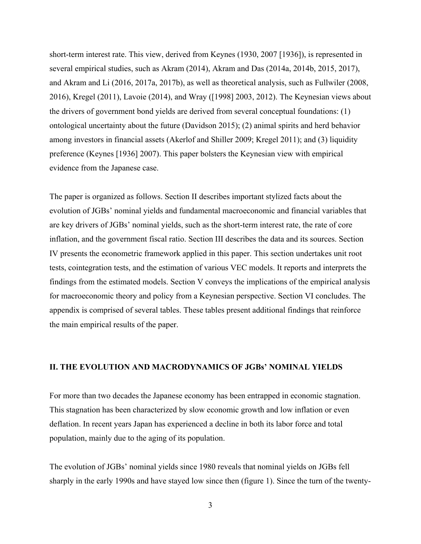short-term interest rate. This view, derived from Keynes (1930, 2007 [1936]), is represented in several empirical studies, such as Akram (2014), Akram and Das (2014a, 2014b, 2015, 2017), and Akram and Li (2016, 2017a, 2017b), as well as theoretical analysis, such as Fullwiler (2008, 2016), Kregel (2011), Lavoie (2014), and Wray ([1998] 2003, 2012). The Keynesian views about the drivers of government bond yields are derived from several conceptual foundations: (1) ontological uncertainty about the future (Davidson 2015); (2) animal spirits and herd behavior among investors in financial assets (Akerlof and Shiller 2009; Kregel 2011); and (3) liquidity preference (Keynes [1936] 2007). This paper bolsters the Keynesian view with empirical evidence from the Japanese case.

The paper is organized as follows. Section II describes important stylized facts about the evolution of JGBs' nominal yields and fundamental macroeconomic and financial variables that are key drivers of JGBs' nominal yields, such as the short-term interest rate, the rate of core inflation, and the government fiscal ratio. Section III describes the data and its sources. Section IV presents the econometric framework applied in this paper. This section undertakes unit root tests, cointegration tests, and the estimation of various VEC models. It reports and interprets the findings from the estimated models. Section V conveys the implications of the empirical analysis for macroeconomic theory and policy from a Keynesian perspective. Section VI concludes. The appendix is comprised of several tables. These tables present additional findings that reinforce the main empirical results of the paper.

#### **II. THE EVOLUTION AND MACRODYNAMICS OF JGBs' NOMINAL YIELDS**

For more than two decades the Japanese economy has been entrapped in economic stagnation. This stagnation has been characterized by slow economic growth and low inflation or even deflation. In recent years Japan has experienced a decline in both its labor force and total population, mainly due to the aging of its population.

The evolution of JGBs' nominal yields since 1980 reveals that nominal yields on JGBs fell sharply in the early 1990s and have stayed low since then (figure 1). Since the turn of the twenty-

3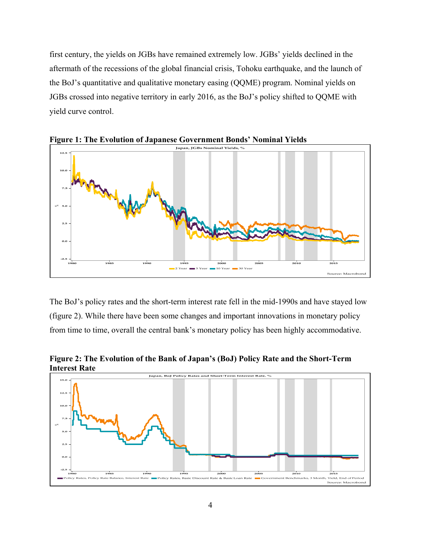first century, the yields on JGBs have remained extremely low. JGBs' yields declined in the aftermath of the recessions of the global financial crisis, Tohoku earthquake, and the launch of the BoJ's quantitative and qualitative monetary easing (QQME) program. Nominal yields on JGBs crossed into negative territory in early 2016, as the BoJ's policy shifted to QQME with yield curve control.



**Figure 1: The Evolution of Japanese Government Bonds' Nominal Yields** 

The BoJ's policy rates and the short-term interest rate fell in the mid-1990s and have stayed low (figure 2). While there have been some changes and important innovations in monetary policy from time to time, overall the central bank's monetary policy has been highly accommodative.

**Figure 2: The Evolution of the Bank of Japan's (BoJ) Policy Rate and the Short-Term Interest Rate** 

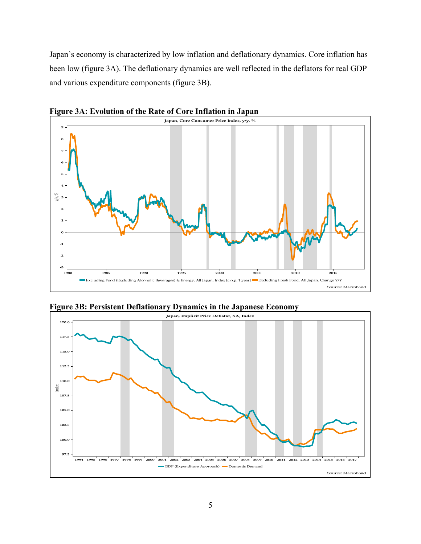Japan's economy is characterized by low inflation and deflationary dynamics. Core inflation has been low (figure 3A). The deflationary dynamics are well reflected in the deflators for real GDP and various expenditure components (figure 3B).



**Figure 3A: Evolution of the Rate of Core Inflation in Japan** 



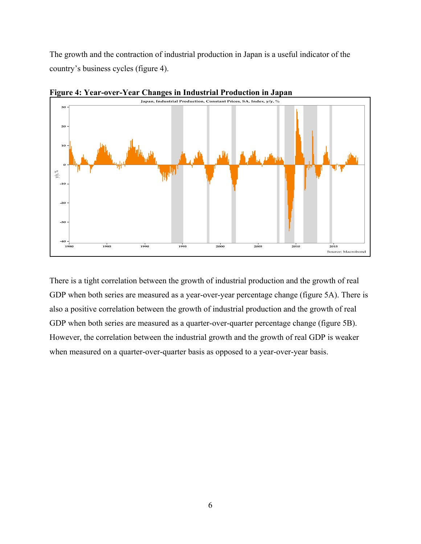The growth and the contraction of industrial production in Japan is a useful indicator of the country's business cycles (figure 4).



**Figure 4: Year-over-Year Changes in Industrial Production in Japan** 

There is a tight correlation between the growth of industrial production and the growth of real GDP when both series are measured as a year-over-year percentage change (figure 5A). There is also a positive correlation between the growth of industrial production and the growth of real GDP when both series are measured as a quarter-over-quarter percentage change (figure 5B). However, the correlation between the industrial growth and the growth of real GDP is weaker when measured on a quarter-over-quarter basis as opposed to a year-over-year basis.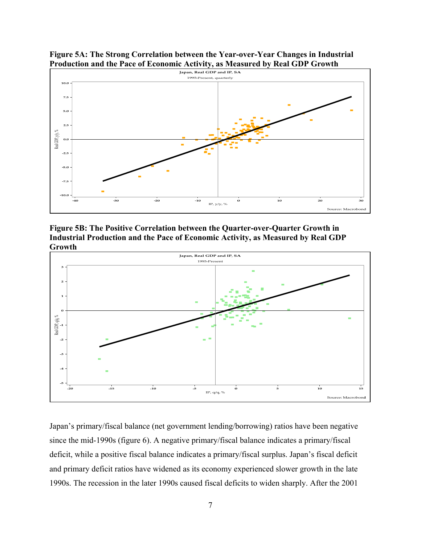

**Figure 5A: The Strong Correlation between the Year-over-Year Changes in Industrial** 

**Figure 5B: The Positive Correlation between the Quarter-over-Quarter Growth in Industrial Production and the Pace of Economic Activity, as Measured by Real GDP Growth**

 $-10$ 

IP.  $v/v \cdot %$ 

 $\circ$ 

 $10^{-1}$ 

 $\overline{20}$ 

 $\overline{30}$ 

Source: Macrobond

-40

ം

-20



Japan's primary/fiscal balance (net government lending/borrowing) ratios have been negative since the mid-1990s (figure 6). A negative primary/fiscal balance indicates a primary/fiscal deficit, while a positive fiscal balance indicates a primary/fiscal surplus. Japan's fiscal deficit and primary deficit ratios have widened as its economy experienced slower growth in the late 1990s. The recession in the later 1990s caused fiscal deficits to widen sharply. After the 2001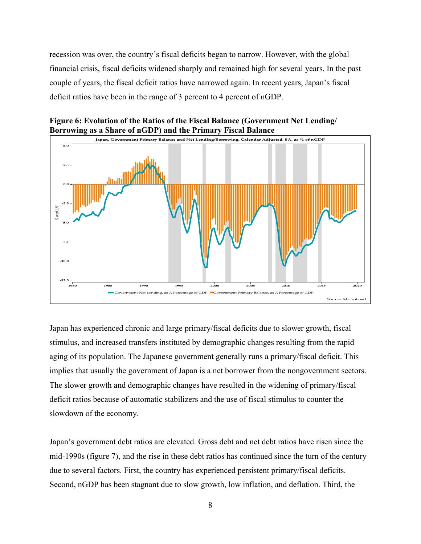recession was over, the country's fiscal deficits began to narrow. However, with the global financial crisis, fiscal deficits widened sharply and remained high for several years. In the past couple of years, the fiscal deficit ratios have narrowed again. In recent years, Japan's fiscal deficit ratios have been in the range of 3 percent to 4 percent of nGDP.



**Figure 6: Evolution of the Ratios of the Fiscal Balance (Government Net Lending/ Borrowing as a Share of nGDP) and the Primary Fiscal Balance** 

Japan has experienced chronic and large primary/fiscal deficits due to slower growth, fiscal stimulus, and increased transfers instituted by demographic changes resulting from the rapid aging of its population. The Japanese government generally runs a primary/fiscal deficit. This implies that usually the government of Japan is a net borrower from the nongovernment sectors. The slower growth and demographic changes have resulted in the widening of primary/fiscal deficit ratios because of automatic stabilizers and the use of fiscal stimulus to counter the slowdown of the economy.

Japan's government debt ratios are elevated. Gross debt and net debt ratios have risen since the mid-1990s (figure 7), and the rise in these debt ratios has continued since the turn of the century due to several factors. First, the country has experienced persistent primary/fiscal deficits. Second, nGDP has been stagnant due to slow growth, low inflation, and deflation. Third, the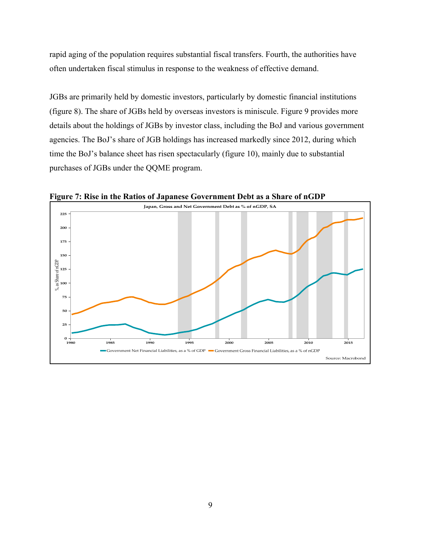rapid aging of the population requires substantial fiscal transfers. Fourth, the authorities have often undertaken fiscal stimulus in response to the weakness of effective demand.

JGBs are primarily held by domestic investors, particularly by domestic financial institutions (figure 8). The share of JGBs held by overseas investors is miniscule. Figure 9 provides more details about the holdings of JGBs by investor class, including the BoJ and various government agencies. The BoJ's share of JGB holdings has increased markedly since 2012, during which time the BoJ's balance sheet has risen spectacularly (figure 10), mainly due to substantial purchases of JGBs under the QQME program.



**Figure 7: Rise in the Ratios of Japanese Government Debt as a Share of nGDP**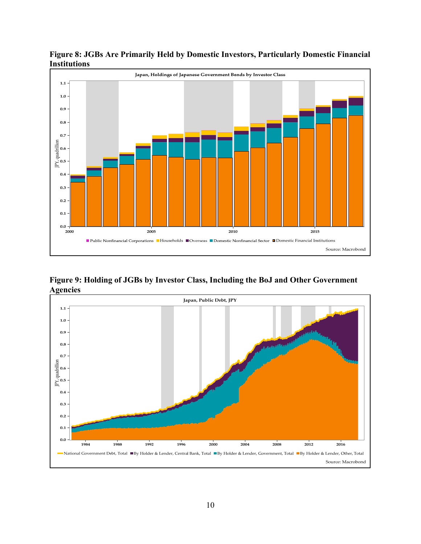

**Figure 8: JGBs Are Primarily Held by Domestic Investors, Particularly Domestic Financial Institutions** 

**Figure 9: Holding of JGBs by Investor Class, Including the BoJ and Other Government Agencies** 

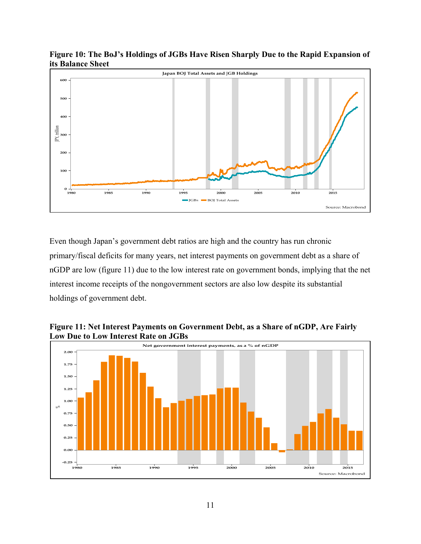

**Figure 10: The BoJ's Holdings of JGBs Have Risen Sharply Due to the Rapid Expansion of its Balance Sheet** 

Even though Japan's government debt ratios are high and the country has run chronic primary/fiscal deficits for many years, net interest payments on government debt as a share of nGDP are low (figure 11) due to the low interest rate on government bonds, implying that the net interest income receipts of the nongovernment sectors are also low despite its substantial holdings of government debt.



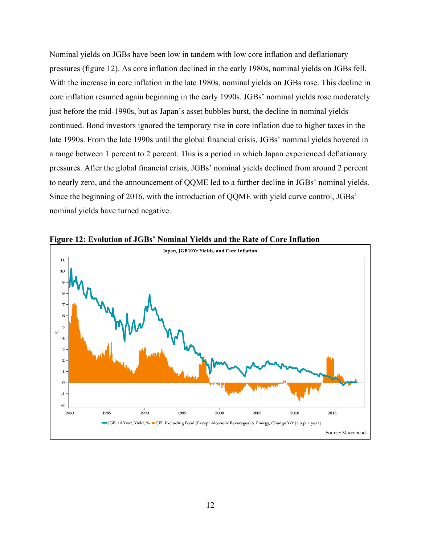Nominal yields on JGBs have been low in tandem with low core inflation and deflationary pressures (figure 12). As core inflation declined in the early 1980s, nominal yields on JGBs fell. With the increase in core inflation in the late 1980s, nominal yields on JGBs rose. This decline in core inflation resumed again beginning in the early 1990s. JGBs' nominal yields rose moderately just before the mid-1990s, but as Japan's asset bubbles burst, the decline in nominal yields continued. Bond investors ignored the temporary rise in core inflation due to higher taxes in the late 1990s. From the late 1990s until the global financial crisis, JGBs' nominal yields hovered in a range between 1 percent to 2 percent. This is a period in which Japan experienced deflationary pressures. After the global financial crisis, JGBs' nominal yields declined from around 2 percent to nearly zero, and the announcement of QQME led to a further decline in JGBs' nominal yields. Since the beginning of 2016, with the introduction of QQME with yield curve control, JGBs' nominal yields have turned negative.



**Figure 12: Evolution of JGBs' Nominal Yields and the Rate of Core Inflation**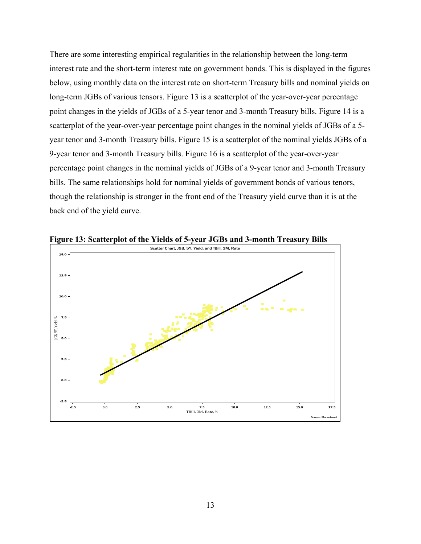There are some interesting empirical regularities in the relationship between the long-term interest rate and the short-term interest rate on government bonds. This is displayed in the figures below, using monthly data on the interest rate on short-term Treasury bills and nominal yields on long-term JGBs of various tensors. Figure 13 is a scatterplot of the year-over-year percentage point changes in the yields of JGBs of a 5-year tenor and 3-month Treasury bills. Figure 14 is a scatterplot of the year-over-year percentage point changes in the nominal yields of JGBs of a 5 year tenor and 3-month Treasury bills. Figure 15 is a scatterplot of the nominal yields JGBs of a 9-year tenor and 3-month Treasury bills. Figure 16 is a scatterplot of the year-over-year percentage point changes in the nominal yields of JGBs of a 9-year tenor and 3-month Treasury bills. The same relationships hold for nominal yields of government bonds of various tenors, though the relationship is stronger in the front end of the Treasury yield curve than it is at the back end of the yield curve.



**Figure 13: Scatterplot of the Yields of 5-year JGBs and 3-month Treasury Bills**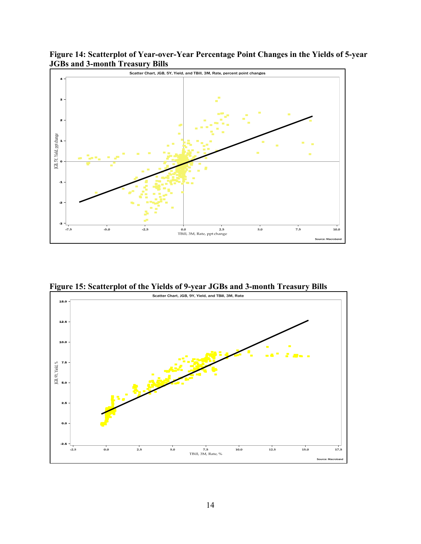**Figure 14: Scatterplot of Year-over-Year Percentage Point Changes in the Yields of 5-year JGBs and 3-month Treasury Bills** 



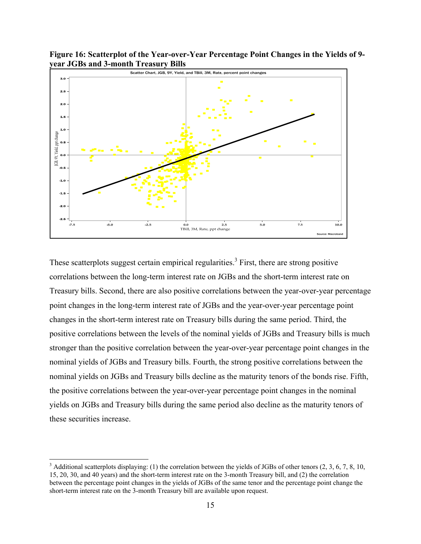**Figure 16: Scatterplot of the Year-over-Year Percentage Point Changes in the Yields of 9 year JGBs and 3-month Treasury Bills** 



These scatterplots suggest certain empirical regularities.<sup>3</sup> First, there are strong positive correlations between the long-term interest rate on JGBs and the short-term interest rate on Treasury bills. Second, there are also positive correlations between the year-over-year percentage point changes in the long-term interest rate of JGBs and the year-over-year percentage point changes in the short-term interest rate on Treasury bills during the same period. Third, the positive correlations between the levels of the nominal yields of JGBs and Treasury bills is much stronger than the positive correlation between the year-over-year percentage point changes in the nominal yields of JGBs and Treasury bills. Fourth, the strong positive correlations between the nominal yields on JGBs and Treasury bills decline as the maturity tenors of the bonds rise. Fifth, the positive correlations between the year-over-year percentage point changes in the nominal yields on JGBs and Treasury bills during the same period also decline as the maturity tenors of these securities increase.

<sup>&</sup>lt;sup>3</sup> Additional scatterplots displaying: (1) the correlation between the yields of JGBs of other tenors  $(2, 3, 6, 7, 8, 10, 10)$ 15, 20, 30, and 40 years) and the short-term interest rate on the 3-month Treasury bill, and (2) the correlation between the percentage point changes in the yields of JGBs of the same tenor and the percentage point change the short-term interest rate on the 3-month Treasury bill are available upon request.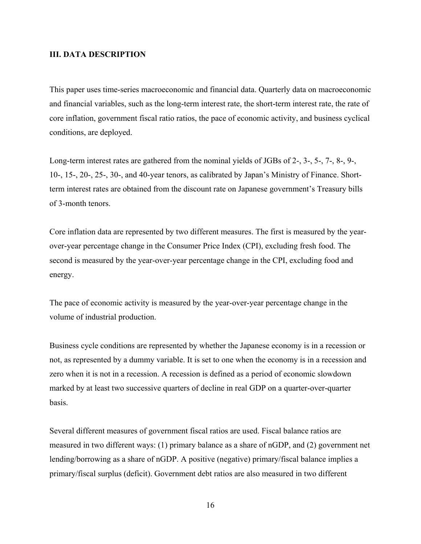#### **III. DATA DESCRIPTION**

This paper uses time-series macroeconomic and financial data. Quarterly data on macroeconomic and financial variables, such as the long-term interest rate, the short-term interest rate, the rate of core inflation, government fiscal ratio ratios, the pace of economic activity, and business cyclical conditions, are deployed.

Long-term interest rates are gathered from the nominal yields of JGBs of 2-, 3-, 5-, 7-, 8-, 9-, 10-, 15-, 20-, 25-, 30-, and 40-year tenors, as calibrated by Japan's Ministry of Finance. Shortterm interest rates are obtained from the discount rate on Japanese government's Treasury bills of 3-month tenors.

Core inflation data are represented by two different measures. The first is measured by the yearover-year percentage change in the Consumer Price Index (CPI), excluding fresh food. The second is measured by the year-over-year percentage change in the CPI, excluding food and energy.

The pace of economic activity is measured by the year-over-year percentage change in the volume of industrial production.

Business cycle conditions are represented by whether the Japanese economy is in a recession or not, as represented by a dummy variable. It is set to one when the economy is in a recession and zero when it is not in a recession. A recession is defined as a period of economic slowdown marked by at least two successive quarters of decline in real GDP on a quarter-over-quarter basis.

Several different measures of government fiscal ratios are used. Fiscal balance ratios are measured in two different ways: (1) primary balance as a share of nGDP, and (2) government net lending/borrowing as a share of nGDP. A positive (negative) primary/fiscal balance implies a primary/fiscal surplus (deficit). Government debt ratios are also measured in two different

16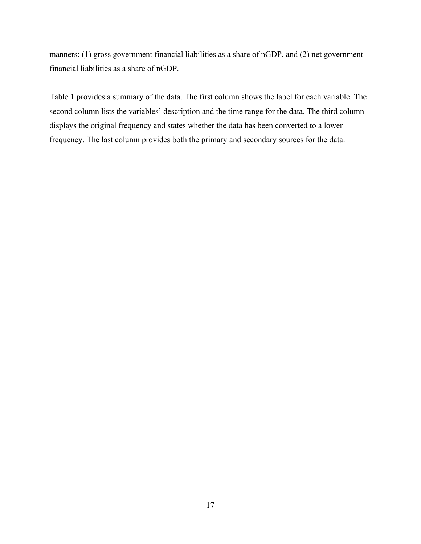manners: (1) gross government financial liabilities as a share of nGDP, and (2) net government financial liabilities as a share of nGDP.

Table 1 provides a summary of the data. The first column shows the label for each variable. The second column lists the variables' description and the time range for the data. The third column displays the original frequency and states whether the data has been converted to a lower frequency. The last column provides both the primary and secondary sources for the data.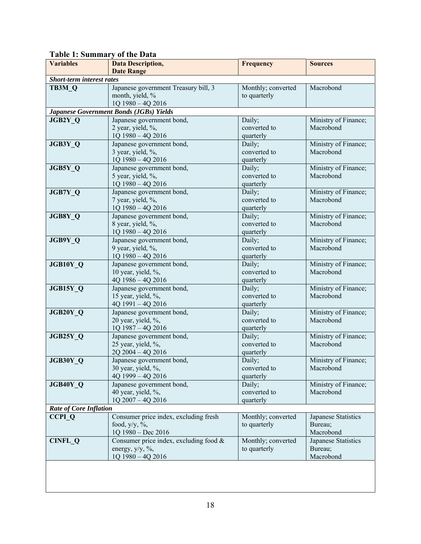#### **Variables Data Description, Date Range Frequency** Sources *Short-term interest rates*  **TB3M\_Q** Japanese government Treasury bill, 3 month, yield, % 1Q 1980 – 4Q 2016 Monthly; converted to quarterly Macrobond *Japanese Government Bonds (JGBs) Yields*  **JGB2Y Q Japanese** government bond, 2 year, yield, %, 1Q 1980 – 4Q 2016 Daily; converted to quarterly Ministry of Finance; Macrobond **JGB3Y Q Japanese government bond,** 3 year, yield, %, 1Q 1980 – 4Q 2016 Daily; converted to quarterly Ministry of Finance; Macrobond **JGB5Y Q** Japanese government bond, 5 year, yield, %, 1Q 1980 – 4Q 2016 Daily; converted to quarterly Ministry of Finance; Macrobond **JGB7Y O Japanese government bond,** 7 year, yield, %, 1Q 1980 – 4Q 2016 Daily; converted to quarterly Ministry of Finance; Macrobond **JGB8Y Q** Japanese government bond, 8 year, yield, %, 1Q 1980 – 4Q 2016 Daily; converted to quarterly Ministry of Finance; Macrobond **JGB9Y Q Japanese government bond,** 9 year, yield, %, 1Q 1980 – 4Q 2016 Daily; converted to quarterly Ministry of Finance; Macrobond **JGB10Y O Japanese government bond,** 10 year, yield, %, 4Q 1986 – 4Q 2016 Daily; converted to quarterly Ministry of Finance; Macrobond **JGB15Y Q** Japanese government bond, 15 year, yield, %, 4Q 1991 – 4Q 2016 Daily; converted to quarterly Ministry of Finance; Macrobond **JGB20Y Q** Japanese government bond, 20 year, yield, %, 1Q 1987 – 4Q 2016 Daily; converted to quarterly Ministry of Finance; Macrobond **JGB25Y Q Japanese government bond,** 25 year, yield, %, 2Q 2004 – 4Q 2016 Daily; converted to quarterly Ministry of Finance; Macrobond **JGB30Y Q** Japanese government bond, 30 year, yield, %, 4Q 1999 – 4Q 2016 Daily; converted to quarterly Ministry of Finance; Macrobond **JGB40Y Q** Japanese government bond, 40 year, yield, %, 1Q 2007 – 4Q 2016 Daily; converted to quarterly Ministry of Finance; Macrobond *Rate of Core Inflation*  **CCPI Q** Consumer price index, excluding fresh food,  $v/v$ , %, 1Q 1980 – Dec 2016 Monthly; converted to quarterly Japanese Statistics Bureau; Macrobond **CINFL Q**  $\qquad$  Consumer price index, excluding food  $\&$ energy,  $y/y$ , %, 1Q 1980 – 4Q 2016 Monthly; converted to quarterly Japanese Statistics Bureau; Macrobond

#### **Table 1: Summary of the Data**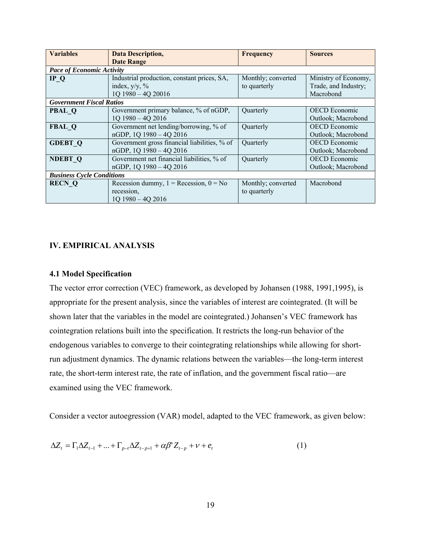| <b>Variables</b>                 | <b>Data Description,</b>                               | <b>Frequency</b>   | <b>Sources</b>       |
|----------------------------------|--------------------------------------------------------|--------------------|----------------------|
|                                  | <b>Date Range</b>                                      |                    |                      |
| <b>Pace of Economic Activity</b> |                                                        |                    |                      |
| IPQ                              | Industrial production, constant prices, SA,            | Monthly; converted | Ministry of Economy, |
|                                  | index, $y/y$ , %                                       | to quarterly       | Trade, and Industry; |
|                                  | 1Q 1980 - 4Q 20016                                     |                    | Macrobond            |
| <b>Government Fiscal Ratios</b>  |                                                        |                    |                      |
| <b>PBAL Q</b>                    | Government primary balance, % of nGDP,                 | Quarterly          | <b>OECD</b> Economic |
|                                  | 1Q 1980 - 4Q 2016                                      |                    | Outlook; Macrobond   |
| <b>FBAL Q</b>                    | Government net lending/borrowing, % of                 | Quarterly          | <b>OECD</b> Economic |
|                                  | nGDP, 1Q 1980 - 4Q 2016                                |                    | Outlook; Macrobond   |
| <b>GDEBT Q</b>                   | Government gross financial liabilities, % of           | Quarterly          | <b>OECD</b> Economic |
|                                  | nGDP, 1Q 1980 - 4Q 2016                                |                    | Outlook; Macrobond   |
| <b>NDEBT Q</b>                   | Government net financial liabilities, % of             | Quarterly          | <b>OECD</b> Economic |
|                                  | nGDP, 1Q 1980 - 4Q 2016                                |                    | Outlook; Macrobond   |
| <b>Business Cycle Conditions</b> |                                                        |                    |                      |
| <b>RECN Q</b>                    | Recession dummy, $1 = \text{Recession}, 0 = \text{No}$ | Monthly; converted | Macrobond            |
|                                  | recession,                                             | to quarterly       |                      |
|                                  | $1Q$ 1980 - 4Q 2016                                    |                    |                      |

### **IV. EMPIRICAL ANALYSIS**

#### **4.1 Model Specification**

The vector error correction (VEC) framework, as developed by Johansen (1988, 1991,1995), is appropriate for the present analysis, since the variables of interest are cointegrated. (It will be shown later that the variables in the model are cointegrated.) Johansen's VEC framework has cointegration relations built into the specification. It restricts the long-run behavior of the endogenous variables to converge to their cointegrating relationships while allowing for shortrun adjustment dynamics. The dynamic relations between the variables—the long-term interest rate, the short-term interest rate, the rate of inflation, and the government fiscal ratio—are examined using the VEC framework.

Consider a vector autoegression (VAR) model, adapted to the VEC framework, as given below:

$$
\Delta Z_{t} = \Gamma_{1} \Delta Z_{t-1} + ... + \Gamma_{p-t} \Delta Z_{t-p+1} + \alpha \beta^{T} Z_{t-p} + v + e_{t}
$$
\n(1)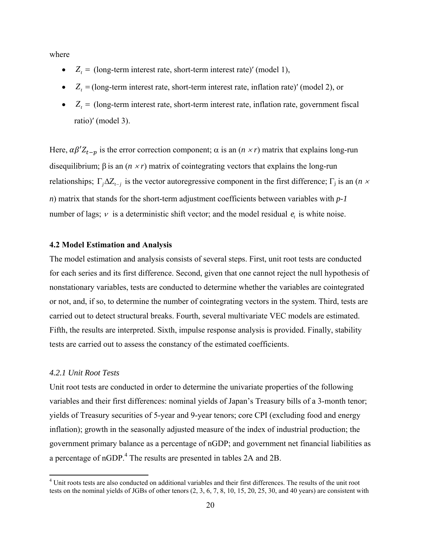where

- $Z_t =$  (long-term interest rate, short-term interest rate)' (model 1),
- $Z_t =$  (long-term interest rate, short-term interest rate, inflation rate)' (model 2), or
- $Z_t =$  (long-term interest rate, short-term interest rate, inflation rate, government fiscal ratio)' (model 3).

Here,  $\alpha \beta' Z_{t-p}$  is the error correction component;  $\alpha$  is an  $(n \times r)$  matrix that explains long-run disequilibrium;  $\beta$  is an  $(n \times r)$  matrix of cointegrating vectors that explains the long-run relationships;  $\Gamma_j \Delta Z_{t-j}$  is the vector autoregressive component in the first difference;  $\Gamma_j$  is an (*n × n*) matrix that stands for the short-term adjustment coefficients between variables with *p-1* number of lags;  $\nu$  is a deterministic shift vector; and the model residual  $e_t$  is white noise.

#### **4.2 Model Estimation and Analysis**

The model estimation and analysis consists of several steps. First, unit root tests are conducted for each series and its first difference. Second, given that one cannot reject the null hypothesis of nonstationary variables, tests are conducted to determine whether the variables are cointegrated or not, and, if so, to determine the number of cointegrating vectors in the system. Third, tests are carried out to detect structural breaks. Fourth, several multivariate VEC models are estimated. Fifth, the results are interpreted. Sixth, impulse response analysis is provided. Finally, stability tests are carried out to assess the constancy of the estimated coefficients.

#### *4.2.1 Unit Root Tests*

Unit root tests are conducted in order to determine the univariate properties of the following variables and their first differences: nominal yields of Japan's Treasury bills of a 3-month tenor; yields of Treasury securities of 5-year and 9-year tenors; core CPI (excluding food and energy inflation); growth in the seasonally adjusted measure of the index of industrial production; the government primary balance as a percentage of nGDP; and government net financial liabilities as a percentage of nGDP.<sup>4</sup> The results are presented in tables 2A and 2B.

<sup>&</sup>lt;sup>4</sup> Unit roots tests are also conducted on additional variables and their first differences. The results of the unit root tests on the nominal yields of JGBs of other tenors (2, 3, 6, 7, 8, 10, 15, 20, 25, 30, and 40 years) are consistent with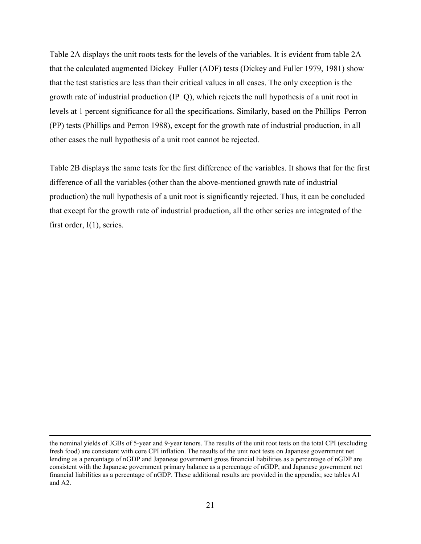Table 2A displays the unit roots tests for the levels of the variables. It is evident from table 2A that the calculated augmented Dickey–Fuller (ADF) tests (Dickey and Fuller 1979, 1981) show that the test statistics are less than their critical values in all cases. The only exception is the growth rate of industrial production (IP\_Q), which rejects the null hypothesis of a unit root in levels at 1 percent significance for all the specifications. Similarly, based on the Phillips–Perron (PP) tests (Phillips and Perron 1988), except for the growth rate of industrial production, in all other cases the null hypothesis of a unit root cannot be rejected.

Table 2B displays the same tests for the first difference of the variables. It shows that for the first difference of all the variables (other than the above-mentioned growth rate of industrial production) the null hypothesis of a unit root is significantly rejected. Thus, it can be concluded that except for the growth rate of industrial production, all the other series are integrated of the first order,  $I(1)$ , series.

<u> 1989 - Johann Stein, marwolaethau a gweledydd a ganlad y ganlad y ganlad y ganlad y ganlad y ganlad y ganlad</u>

the nominal yields of JGBs of 5-year and 9-year tenors. The results of the unit root tests on the total CPI (excluding fresh food) are consistent with core CPI inflation. The results of the unit root tests on Japanese government net lending as a percentage of nGDP and Japanese government gross financial liabilities as a percentage of nGDP are consistent with the Japanese government primary balance as a percentage of nGDP, and Japanese government net financial liabilities as a percentage of nGDP. These additional results are provided in the appendix; see tables A1 and A2.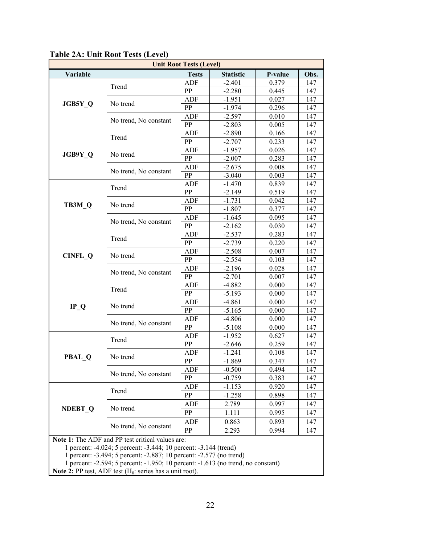| <b>Unit Root Tests (Level)</b> |                                                  |              |                  |         |      |  |  |  |
|--------------------------------|--------------------------------------------------|--------------|------------------|---------|------|--|--|--|
| Variable                       |                                                  | <b>Tests</b> | <b>Statistic</b> | P-value | Obs. |  |  |  |
|                                | Trend                                            | ADF          | $-2.401$         | 0.379   | 147  |  |  |  |
|                                |                                                  | PP           | $-2.280$         | 0.445   | 147  |  |  |  |
| JGB5Y Q                        | No trend                                         | <b>ADF</b>   | $-1.951$         | 0.027   | 147  |  |  |  |
|                                |                                                  | PP           | $-1.974$         | 0.296   | 147  |  |  |  |
|                                | No trend, No constant                            | <b>ADF</b>   | $-2.597$         | 0.010   | 147  |  |  |  |
|                                |                                                  | PP           | $-2.803$         | 0.005   | 147  |  |  |  |
|                                | Trend                                            | <b>ADF</b>   | $-2.890$         | 0.166   | 147  |  |  |  |
|                                |                                                  | PP           | $-2.707$         | 0.233   | 147  |  |  |  |
| JGB9Y_Q                        | No trend                                         | <b>ADF</b>   | $-1.957$         | 0.026   | 147  |  |  |  |
|                                |                                                  | PP           | $-2.007$         | 0.283   | 147  |  |  |  |
|                                | No trend, No constant                            | ADF          | $-2.675$         | 0.008   | 147  |  |  |  |
|                                |                                                  | PP           | $-3.040$         | 0.003   | 147  |  |  |  |
|                                | Trend                                            | <b>ADF</b>   | $-1.470$         | 0.839   | 147  |  |  |  |
|                                |                                                  | PP           | $-2.149$         | 0.519   | 147  |  |  |  |
| TB3M Q                         | No trend                                         | <b>ADF</b>   | $-1.731$         | 0.042   | 147  |  |  |  |
|                                |                                                  | PP           | $-1.807$         | 0.377   | 147  |  |  |  |
|                                | No trend, No constant                            | <b>ADF</b>   | $-1.645$         | 0.095   | 147  |  |  |  |
|                                |                                                  | PP           | $-2.162$         | 0.030   | 147  |  |  |  |
|                                | Trend                                            | <b>ADF</b>   | $-2.537$         | 0.283   | 147  |  |  |  |
|                                |                                                  | PP           | $-2.739$         | 0.220   | 147  |  |  |  |
| <b>CINFL Q</b>                 | No trend                                         | <b>ADF</b>   | $-2.508$         | 0.007   | 147  |  |  |  |
|                                |                                                  | PP           | $-2.554$         | 0.103   | 147  |  |  |  |
|                                | No trend, No constant                            | <b>ADF</b>   | $-2.196$         | 0.028   | 147  |  |  |  |
|                                |                                                  | PP           | $-2.701$         | 0.007   | 147  |  |  |  |
|                                | Trend                                            | <b>ADF</b>   | $-4.882$         | 0.000   | 147  |  |  |  |
|                                |                                                  | PP           | $-5.193$         | 0.000   | 147  |  |  |  |
| $IP_Q$                         | No trend                                         | <b>ADF</b>   | $-4.861$         | 0.000   | 147  |  |  |  |
|                                |                                                  | <b>PP</b>    | $-5.165$         | 0.000   | 147  |  |  |  |
|                                | No trend, No constant                            | ADF          | $-4.806$         | 0.000   | 147  |  |  |  |
|                                |                                                  | PP           | $-5.108$         | 0.000   | 147  |  |  |  |
|                                | Trend                                            | ADF          | $-1.952$         | 0.627   | 147  |  |  |  |
|                                |                                                  | PP           | $-2.646$         | 0.259   | 147  |  |  |  |
|                                |                                                  | <b>ADF</b>   | $-1.241$         | 0.108   | 147  |  |  |  |
| <b>PBAL Q</b>                  | No trend                                         | PP           | $-1.869$         | 0.347   | 147  |  |  |  |
|                                | No trend, No constant                            | <b>ADF</b>   | $-0.500$         | 0.494   | 147  |  |  |  |
|                                |                                                  | PP           | $-0.759$         | 0.383   | 147  |  |  |  |
|                                |                                                  | ADF          | $-1.153$         | 0.920   | 147  |  |  |  |
|                                | Trend                                            | PP           | $-1.258$         | 0.898   | 147  |  |  |  |
|                                |                                                  | ADF          | 2.789            | 0.997   | 147  |  |  |  |
| <b>NDEBT Q</b>                 | No trend                                         | PP           | 1.111            | 0.995   | 147  |  |  |  |
|                                |                                                  | ADF          | 0.863            | 0.893   | 147  |  |  |  |
|                                | No trend, No constant                            | PP           | 2.293            | 0.994   | 147  |  |  |  |
|                                | Note 1: The ADF and PP test critical values are: |              |                  |         |      |  |  |  |

**Table 2A: Unit Root Tests (Level)** 

1 percent: -4.024; 5 percent: -3.444; 10 percent: -3.144 (trend)

1 percent: -3.494; 5 percent: -2.887; 10 percent: -2.577 (no trend)

1 percent: -2.594; 5 percent: -1.950; 10 percent: -1.613 (no trend, no constant)

**Note 2:** PP test, ADF test  $(H_0:$  series has a unit root).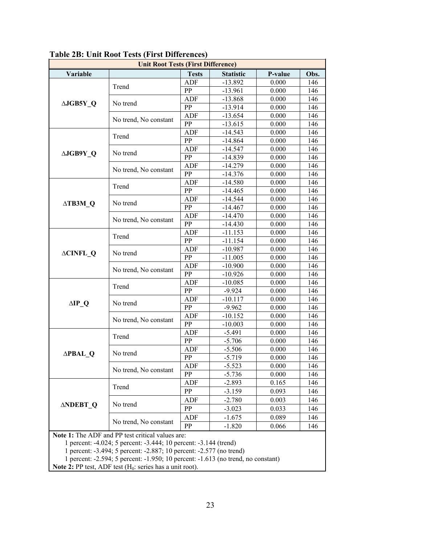| <b>Unit Root Tests (First Difference)</b>                           |                                                                  |              |                  |         |      |  |  |  |
|---------------------------------------------------------------------|------------------------------------------------------------------|--------------|------------------|---------|------|--|--|--|
| Variable                                                            |                                                                  | <b>Tests</b> | <b>Statistic</b> | P-value | Obs. |  |  |  |
|                                                                     | Trend                                                            | <b>ADF</b>   | $-13.892$        | 0.000   | 146  |  |  |  |
|                                                                     |                                                                  | PP           | $-13.961$        | 0.000   | 146  |  |  |  |
| ∆JGB5Y Q                                                            | No trend                                                         | ADF          | $-13.868$        | 0.000   | 146  |  |  |  |
|                                                                     |                                                                  | PP           | $-13.914$        | 0.000   | 146  |  |  |  |
|                                                                     | No trend, No constant                                            | <b>ADF</b>   | $-13.654$        | 0.000   | 146  |  |  |  |
|                                                                     |                                                                  | PP           | $-13.615$        | 0.000   | 146  |  |  |  |
|                                                                     | Trend                                                            | <b>ADF</b>   | $-14.543$        | 0.000   | 146  |  |  |  |
|                                                                     |                                                                  | PP           | $-14.864$        | 0.000   | 146  |  |  |  |
| ∆JGB9Y Q                                                            | No trend                                                         | <b>ADF</b>   | $-14.547$        | 0.000   | 146  |  |  |  |
|                                                                     |                                                                  | PP           | $-14.839$        | 0.000   | 146  |  |  |  |
|                                                                     | No trend, No constant                                            | <b>ADF</b>   | $-14.279$        | 0.000   | 146  |  |  |  |
|                                                                     |                                                                  | PP           | $-14.376$        | 0.000   | 146  |  |  |  |
|                                                                     | Trend                                                            | <b>ADF</b>   | $-14.580$        | 0.000   | 146  |  |  |  |
|                                                                     |                                                                  | PP           | $-14.465$        | 0.000   | 146  |  |  |  |
| $\triangle$ TB3M Q                                                  | No trend                                                         | ADF          | $-14.544$        | 0.000   | 146  |  |  |  |
|                                                                     |                                                                  | PP           | $-14.467$        | 0.000   | 146  |  |  |  |
|                                                                     | No trend, No constant                                            | <b>ADF</b>   | $-14.470$        | 0.000   | 146  |  |  |  |
|                                                                     |                                                                  | PP           | $-14.430$        | 0.000   | 146  |  |  |  |
|                                                                     | Trend                                                            | ADF          | $-11.153$        | 0.000   | 146  |  |  |  |
|                                                                     |                                                                  | <b>PP</b>    | $-11.154$        | 0.000   | 146  |  |  |  |
| <b>ACINFL Q</b>                                                     | No trend                                                         | ADF          | $-10.987$        | 0.000   | 146  |  |  |  |
|                                                                     |                                                                  | PP           | $-11.005$        | 0.000   | 146  |  |  |  |
|                                                                     | No trend, No constant                                            | <b>ADF</b>   | $-10.900$        | 0.000   | 146  |  |  |  |
|                                                                     |                                                                  | PP           | $-10.926$        | 0.000   | 146  |  |  |  |
|                                                                     | Trend                                                            | <b>ADF</b>   | $-10.085$        | 0.000   | 146  |  |  |  |
|                                                                     |                                                                  | PP           | $-9.924$         | 0.000   | 146  |  |  |  |
| $\Delta$ IP Q                                                       | No trend                                                         | <b>ADF</b>   | $-10.117$        | 0.000   | 146  |  |  |  |
|                                                                     |                                                                  | PP           | $-9.962$         | 0.000   | 146  |  |  |  |
|                                                                     | No trend, No constant                                            | <b>ADF</b>   | $-10.152$        | 0.000   | 146  |  |  |  |
|                                                                     |                                                                  | PP           | $-10.003$        | 0.000   | 146  |  |  |  |
|                                                                     | Trend                                                            | ADF          | $-5.491$         | 0.000   | 146  |  |  |  |
|                                                                     |                                                                  | PP           | $-5.706$         | 0.000   | 146  |  |  |  |
| ∆PBAL Q                                                             | No trend                                                         | <b>ADF</b>   | $-5.506$         | 0.000   | 146  |  |  |  |
|                                                                     |                                                                  | PP           | $-5.719$         | 0.000   | 146  |  |  |  |
|                                                                     | No trend, No constant                                            | <b>ADF</b>   | $-5.523$         | 0.000   | 146  |  |  |  |
|                                                                     |                                                                  | PP           | $-5.736$         | 0.000   | 146  |  |  |  |
|                                                                     | Trend                                                            | ADF          | $-2.893$         | 0.165   | 146  |  |  |  |
|                                                                     |                                                                  | PP           | $-3.159$         | 0.093   | 146  |  |  |  |
|                                                                     |                                                                  | ADF          | $-2.780$         | 0.003   | 146  |  |  |  |
| <b>ANDEBT Q</b>                                                     | No trend                                                         | PP           | $-3.023$         | 0.033   | 146  |  |  |  |
|                                                                     |                                                                  | ADF          | $-1.675$         | 0.089   | 146  |  |  |  |
|                                                                     | No trend, No constant                                            | <b>PP</b>    | $-1.820$         | 0.066   | 146  |  |  |  |
|                                                                     | Note 1: The ADF and PP test critical values are:                 |              |                  |         |      |  |  |  |
|                                                                     | 1 percent: -4.024; 5 percent: -3.444; 10 percent: -3.144 (trend) |              |                  |         |      |  |  |  |
| 1 percent: -3.494; 5 percent: -2.887; 10 percent: -2.577 (no trend) |                                                                  |              |                  |         |      |  |  |  |

## **Table 2B: Unit Root Tests (First Differences)**

1 percent: -2.594; 5 percent: -1.950; 10 percent: -1.613 (no trend, no constant)

**Note 2:** PP test, ADF test (H<sub>0</sub>: series has a unit root).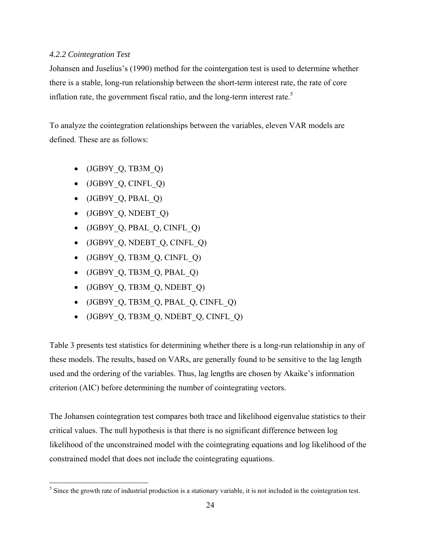## *4.2.2 Cointegration Test*

Johansen and Juselius's (1990) method for the cointergation test is used to determine whether there is a stable, long-run relationship between the short-term interest rate, the rate of core inflation rate, the government fiscal ratio, and the long-term interest rate.<sup>5</sup>

To analyze the cointegration relationships between the variables, eleven VAR models are defined. These are as follows:

- $\bullet$  (JGB9Y Q, TB3M Q)
- $\bullet$  (JGB9Y Q, CINFL Q)
- $\bullet$  (JGB9Y Q, PBAL Q)
- $\bullet$  (JGB9Y Q, NDEBT Q)
- $\bullet$  (JGB9Y Q, PBAL Q, CINFL Q)
- $\bullet$  (JGB9Y Q, NDEBT Q, CINFL Q)
- $\bullet$  (JGB9Y Q, TB3M Q, CINFL Q)
- $\bullet$  (JGB9Y Q, TB3M Q, PBAL Q)
- $\bullet$  (JGB9Y Q, TB3M Q, NDEBT Q)
- $\bullet$  (JGB9Y Q, TB3M Q, PBAL Q, CINFL Q)
- $\bullet$  (JGB9Y Q, TB3M Q, NDEBT Q, CINFL Q)

Table 3 presents test statistics for determining whether there is a long-run relationship in any of these models. The results, based on VARs, are generally found to be sensitive to the lag length used and the ordering of the variables. Thus, lag lengths are chosen by Akaike's information criterion (AIC) before determining the number of cointegrating vectors.

The Johansen cointegration test compares both trace and likelihood eigenvalue statistics to their critical values. The null hypothesis is that there is no significant difference between log likelihood of the unconstrained model with the cointegrating equations and log likelihood of the constrained model that does not include the cointegrating equations.

  $<sup>5</sup>$  Since the growth rate of industrial production is a stationary variable, it is not included in the cointegration test.</sup>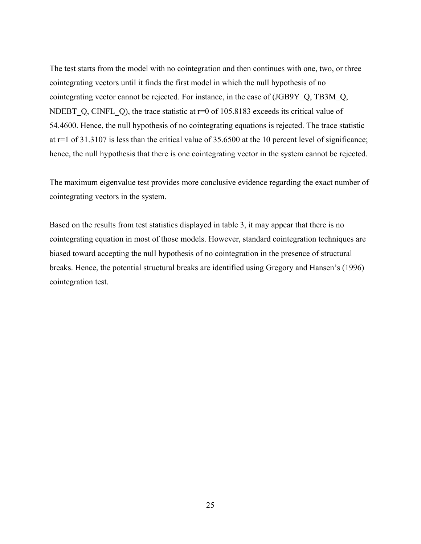The test starts from the model with no cointegration and then continues with one, two, or three cointegrating vectors until it finds the first model in which the null hypothesis of no cointegrating vector cannot be rejected. For instance, in the case of (JGB9Y\_Q, TB3M\_Q, NDEBT Q, CINFL Q), the trace statistic at  $r=0$  of 105.8183 exceeds its critical value of 54.4600. Hence, the null hypothesis of no cointegrating equations is rejected. The trace statistic at r=1 of 31.3107 is less than the critical value of 35.6500 at the 10 percent level of significance; hence, the null hypothesis that there is one cointegrating vector in the system cannot be rejected.

The maximum eigenvalue test provides more conclusive evidence regarding the exact number of cointegrating vectors in the system.

Based on the results from test statistics displayed in table 3, it may appear that there is no cointegrating equation in most of those models. However, standard cointegration techniques are biased toward accepting the null hypothesis of no cointegration in the presence of structural breaks. Hence, the potential structural breaks are identified using Gregory and Hansen's (1996) cointegration test.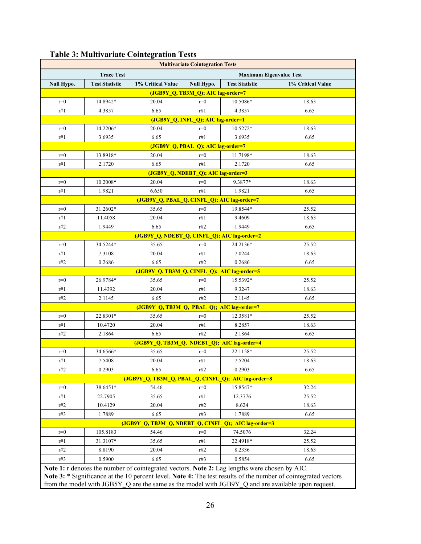| <b>Multivariate Cointegration Tests</b> |                                                     |                                                                                               |                                    |                       |                   |  |  |
|-----------------------------------------|-----------------------------------------------------|-----------------------------------------------------------------------------------------------|------------------------------------|-----------------------|-------------------|--|--|
|                                         | <b>Trace Test</b><br><b>Maximum Eigenvalue Test</b> |                                                                                               |                                    |                       |                   |  |  |
| <b>Null Hypo.</b>                       | <b>Test Statistic</b>                               | 1% Critical Value                                                                             | <b>Null Hypo.</b>                  | <b>Test Statistic</b> | 1% Critical Value |  |  |
|                                         |                                                     |                                                                                               | (JGB9Y_Q, TB3M_Q); AIC lag-order=7 |                       |                   |  |  |
| $r=0$                                   | 14.8942*                                            | 20.04                                                                                         | $r=0$                              | 10.5086*              | 18.63             |  |  |
| r#1                                     | 4.3857                                              | 6.65                                                                                          | r#1                                | 4.3857                | 6.65              |  |  |
|                                         |                                                     |                                                                                               | (JGB9Y_Q, INFL_Q); AIC lag-order=1 |                       |                   |  |  |
| $r=0$                                   | 14.2206*                                            | 20.04                                                                                         | $r=0$                              | 10.5272*              | 18.63             |  |  |
| r#1                                     | 3.6935                                              | 6.65                                                                                          | r#1                                | 3.6935                | 6.65              |  |  |
|                                         |                                                     |                                                                                               | (JGB9Y_Q, PBAL_Q); AIC lag-order=7 |                       |                   |  |  |
| $r=0$                                   | 13.8918*                                            | 20.04                                                                                         | $r=0$                              | 11.7198*              | 18.63             |  |  |
| r#1                                     | 2.1720                                              | 6.65                                                                                          | r#1                                | 2.1720                | 6.65              |  |  |
|                                         |                                                     | (JGB9Y_Q, NDEBT_Q); AIC lag-order=3                                                           |                                    |                       |                   |  |  |
| $r=0$                                   | 10.2008*                                            | 20.04                                                                                         | $r=0$                              | 9.3877*               | 18.63             |  |  |
| r#1                                     | 1.9821                                              | 6.650                                                                                         | r#1                                | 1.9821                | 6.65              |  |  |
|                                         |                                                     | (JGB9Y_Q, PBAL_Q, CINFL_Q); AIC lag-order=7                                                   |                                    |                       |                   |  |  |
| $r=0$                                   | 31.2602*                                            | 35.65                                                                                         | $r=0$                              | 19.8544*              | 25.52             |  |  |
| r#1                                     | 11.4058                                             | 20.04                                                                                         | r#1                                | 9.4609                | 18.63             |  |  |
| r#2                                     | 1.9449                                              | 6.65                                                                                          | r#2                                | 1.9449                | 6.65              |  |  |
|                                         |                                                     | (JGB9Y_Q, NDEBT_Q, CINFL_Q); AIC lag-order=2                                                  |                                    |                       |                   |  |  |
| $r=0$                                   | 34.5244*                                            | 35.65                                                                                         | $r=0$                              | 24.2136*              | 25.52             |  |  |
| r#1                                     | 7.3108                                              | 20.04                                                                                         | r#1                                | 7.0244                | 18.63             |  |  |
| r#2                                     | 0.2686                                              | 6.65                                                                                          | r#2                                | 0.2686                | 6.65              |  |  |
|                                         |                                                     | (JGB9Y_Q, TB3M_Q, CINFL_Q); AIC lag-order=5                                                   |                                    |                       |                   |  |  |
| $r=0$                                   | 26.9784*                                            | 35.65                                                                                         | $r=0$                              | 15.5392*              | 25.52             |  |  |
| r#1                                     | 11.4392                                             | 20.04                                                                                         | r#1                                | 9.3247                | 18.63             |  |  |
| r#2                                     | 2.1145                                              | 6.65                                                                                          | r#2                                | 2.1145                | 6.65              |  |  |
|                                         |                                                     | (JGB9Y_Q, TB3M_Q, PBAL_Q); AIC lag-order=7                                                    |                                    |                       |                   |  |  |
| $r=0$                                   | 22.8301*                                            | 35.65                                                                                         | $r=0$                              | 12.3581*              | 25.52             |  |  |
| r#1                                     | 10.4720                                             | 20.04                                                                                         | r#1                                | 8.2857                | 18.63             |  |  |
| r#2                                     | 2.1864                                              | 6.65                                                                                          | r#2                                | 2.1864                | 6.65              |  |  |
|                                         |                                                     | (JGB9Y_Q, TB3M_Q, NDEBT_Q); AIC lag-order=4                                                   |                                    |                       |                   |  |  |
| $r=0$                                   | 34.6566*                                            | 35.65                                                                                         | $r=0$                              | 22.1158*              | 25.52             |  |  |
| r#1                                     | 7.5408                                              | 20.04                                                                                         | r#1                                | 7.5204                | 18.63             |  |  |
| r#2                                     | 0.2903                                              | 6.65                                                                                          | r#2                                | 0.2903                | 6.65              |  |  |
|                                         |                                                     | (JGB9Y_Q, TB3M_Q, PBAL_Q, CINFL_Q); AIC lag-order=8                                           |                                    |                       |                   |  |  |
| $r=0$                                   | 38.6451*                                            | 54.46                                                                                         | $r=0$                              | 15.8547*              | 32.24             |  |  |
| r#1                                     | 22.7905                                             | 35.65                                                                                         | r#1                                | 12.3776               | 25.52             |  |  |
| r#2                                     | 10.4129                                             | 20.04                                                                                         | r#2                                | 8.624                 | 18.63             |  |  |
| r#3                                     | 1.7889                                              | 6.65                                                                                          | r#3                                | 1.7889                | 6.65              |  |  |
|                                         |                                                     | (JGB9Y_Q, TB3M_Q, NDEBT_Q, CINFL_Q); AIC lag-order=3                                          |                                    |                       |                   |  |  |
| $r=0$                                   | 105.8183                                            | 54.46                                                                                         | $r=0$                              | 74.5076               | 32.24             |  |  |
| r#1                                     | 31.3107*                                            | 35.65                                                                                         | r#1                                | 22.4918*              | 25.52             |  |  |
| r#2                                     | 8.8190                                              | 20.04                                                                                         | r#2                                | 8.2336                | 18.63             |  |  |
| r#3                                     | 0.5900                                              | 6.65                                                                                          | r#3                                | 0.5854                | 6.65              |  |  |
|                                         |                                                     | Note 1: r denotes the number of cointegrated vectors. Note 2: Lag lengths were chosen by AIC. |                                    |                       |                   |  |  |

## **Table 3: Multivariate Cointegration Tests**

**Note 3:** \* Significance at the 10 percent level. **Note 4:** The test results of the number of cointegrated vectors from the model with JGB5Y\_Q are the same as the model with JGB9Y\_Q and are available upon request.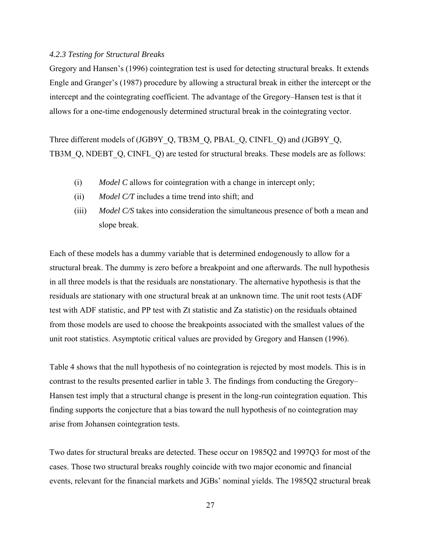#### *4.2.3 Testing for Structural Breaks*

Gregory and Hansen's (1996) cointegration test is used for detecting structural breaks. It extends Engle and Granger's (1987) procedure by allowing a structural break in either the intercept or the intercept and the cointegrating coefficient. The advantage of the Gregory–Hansen test is that it allows for a one-time endogenously determined structural break in the cointegrating vector.

Three different models of (JGB9Y\_Q, TB3M\_Q, PBAL\_Q, CINFL\_Q) and (JGB9Y\_Q, TB3M\_Q, NDEBT\_Q, CINFL\_Q) are tested for structural breaks. These models are as follows:

- (i) *Model C* allows for cointegration with a change in intercept only;
- (ii) *Model C/T* includes a time trend into shift; and
- (iii) *Model C/S* takes into consideration the simultaneous presence of both a mean and slope break.

Each of these models has a dummy variable that is determined endogenously to allow for a structural break. The dummy is zero before a breakpoint and one afterwards. The null hypothesis in all three models is that the residuals are nonstationary. The alternative hypothesis is that the residuals are stationary with one structural break at an unknown time. The unit root tests (ADF test with ADF statistic, and PP test with Zt statistic and Za statistic) on the residuals obtained from those models are used to choose the breakpoints associated with the smallest values of the unit root statistics. Asymptotic critical values are provided by Gregory and Hansen (1996).

Table 4 shows that the null hypothesis of no cointegration is rejected by most models. This is in contrast to the results presented earlier in table 3. The findings from conducting the Gregory– Hansen test imply that a structural change is present in the long-run cointegration equation. This finding supports the conjecture that a bias toward the null hypothesis of no cointegration may arise from Johansen cointegration tests.

Two dates for structural breaks are detected. These occur on 1985Q2 and 1997Q3 for most of the cases. Those two structural breaks roughly coincide with two major economic and financial events, relevant for the financial markets and JGBs' nominal yields. The 1985Q2 structural break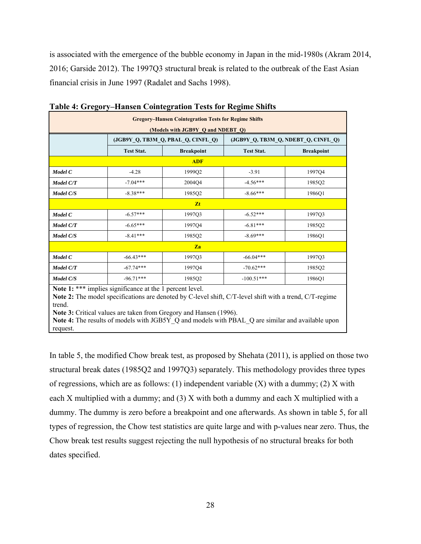is associated with the emergence of the bubble economy in Japan in the mid-1980s (Akram 2014, 2016; Garside 2012). The 1997Q3 structural break is related to the outbreak of the East Asian financial crisis in June 1997 (Radalet and Sachs 1998).

| <b>Gregory-Hansen Cointegration Tests for Regime Shifts</b>                                                                                                                                                                                                                                                                                                   |                   |                   |                                        |        |  |  |  |  |  |
|---------------------------------------------------------------------------------------------------------------------------------------------------------------------------------------------------------------------------------------------------------------------------------------------------------------------------------------------------------------|-------------------|-------------------|----------------------------------------|--------|--|--|--|--|--|
| (Models with JGB9Y Q and NDEBT Q)<br>(JGB9Y_Q, TB3M_Q, PBAL_Q, CINFL_Q)<br>(JGB9Y Q, TB3M Q, NDEBT Q, CINFL Q)                                                                                                                                                                                                                                                |                   |                   |                                        |        |  |  |  |  |  |
|                                                                                                                                                                                                                                                                                                                                                               | <b>Test Stat.</b> | <b>Breakpoint</b> | <b>Test Stat.</b><br><b>Breakpoint</b> |        |  |  |  |  |  |
| <b>ADF</b>                                                                                                                                                                                                                                                                                                                                                    |                   |                   |                                        |        |  |  |  |  |  |
| Model C                                                                                                                                                                                                                                                                                                                                                       | $-4.28$           | 199902            | $-3.91$                                | 199704 |  |  |  |  |  |
| Model C/T                                                                                                                                                                                                                                                                                                                                                     | $-7.04***$        | 2004O4            | $-4.56***$                             | 198502 |  |  |  |  |  |
| <b>Model C/S</b>                                                                                                                                                                                                                                                                                                                                              | $-8.38***$        | 1985Q2            | $-8.66***$                             | 1986O1 |  |  |  |  |  |
|                                                                                                                                                                                                                                                                                                                                                               |                   | Zt                |                                        |        |  |  |  |  |  |
| Model C                                                                                                                                                                                                                                                                                                                                                       | $-6.57***$        | 199703            | $-6.52***$                             | 199703 |  |  |  |  |  |
| Model C/T                                                                                                                                                                                                                                                                                                                                                     | $-6.65***$        | 199704            | $-6.81***$                             | 1985Q2 |  |  |  |  |  |
| <b>Model C/S</b>                                                                                                                                                                                                                                                                                                                                              | $-8.41***$        | 1985Q2            | $-8.69***$                             | 1986O1 |  |  |  |  |  |
|                                                                                                                                                                                                                                                                                                                                                               |                   | Za                |                                        |        |  |  |  |  |  |
| Model C                                                                                                                                                                                                                                                                                                                                                       | $-66.43***$       | 1997Q3            | $-66.04***$                            | 199703 |  |  |  |  |  |
| Model C/T                                                                                                                                                                                                                                                                                                                                                     | $-67.74***$       | 199704            | $-70.62***$                            | 198502 |  |  |  |  |  |
| Model C/S                                                                                                                                                                                                                                                                                                                                                     | $-96.71***$       | 198502            | $-100.51***$                           | 1986O1 |  |  |  |  |  |
| Note 1: *** implies significance at the 1 percent level.<br>Note 2: The model specifications are denoted by C-level shift, C/T-level shift with a trend, C/T-regime<br>trend.<br>Note 3: Critical values are taken from Gregory and Hansen (1996).<br><b>Note 4:</b> The results of models with JGB5Y Q and models with PBAL Q are similar and available upon |                   |                   |                                        |        |  |  |  |  |  |

| Table 4: Gregory–Hansen Cointegration Tests for Regime Shifts |  |  |
|---------------------------------------------------------------|--|--|
|                                                               |  |  |

request.

In table 5, the modified Chow break test, as proposed by Shehata (2011), is applied on those two structural break dates (1985Q2 and 1997Q3) separately. This methodology provides three types of regressions, which are as follows: (1) independent variable  $(X)$  with a dummy; (2) X with each X multiplied with a dummy; and (3) X with both a dummy and each X multiplied with a dummy. The dummy is zero before a breakpoint and one afterwards. As shown in table 5, for all types of regression, the Chow test statistics are quite large and with p-values near zero. Thus, the Chow break test results suggest rejecting the null hypothesis of no structural breaks for both dates specified.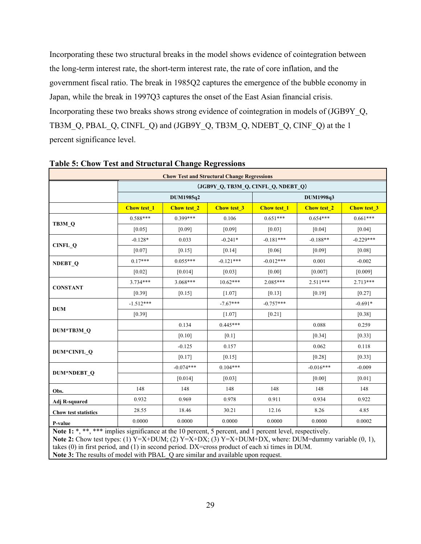Incorporating these two structural breaks in the model shows evidence of cointegration between the long-term interest rate, the short-term interest rate, the rate of core inflation, and the government fiscal ratio. The break in 1985Q2 captures the emergence of the bubble economy in Japan, while the break in 1997Q3 captures the onset of the East Asian financial crisis. Incorporating these two breaks shows strong evidence of cointegration in models of (JGB9Y\_Q, TB3M\_Q, PBAL\_Q, CINFL\_Q) and (JGB9Y\_Q, TB3M\_Q, NDEBT\_Q, CINF\_Q) at the 1 percent significance level.

| <b>Chow Test and Structural Change Regressions</b>                                                        |                    |                                     |             |                    |                    |             |  |  |  |  |
|-----------------------------------------------------------------------------------------------------------|--------------------|-------------------------------------|-------------|--------------------|--------------------|-------------|--|--|--|--|
|                                                                                                           |                    | (JGB9Y_Q, TB3M_Q, CINFL_Q, NDEBT_Q) |             |                    |                    |             |  |  |  |  |
|                                                                                                           |                    | DUM1985q2                           |             |                    | DUM1998q3          |             |  |  |  |  |
|                                                                                                           | <b>Chow test_1</b> | <b>Chow test 2</b>                  | Chow test_3 | <b>Chow test 1</b> | <b>Chow test 2</b> | Chow test_3 |  |  |  |  |
|                                                                                                           | $0.588***$         | $0.399***$                          | 0.106       | $0.651***$         | $0.654***$         | $0.661***$  |  |  |  |  |
| TB3M Q                                                                                                    | [0.05]             | [0.09]                              | [0.09]      | [0.03]             | [0.04]             | [0.04]      |  |  |  |  |
|                                                                                                           | $-0.128*$          | 0.033                               | $-0.241*$   | $-0.181***$        | $-0.188**$         | $-0.229***$ |  |  |  |  |
| $CINFL_Q$                                                                                                 | [0.07]             | [0.15]                              | [0.14]      | [0.06]             | [0.09]             | [0.08]      |  |  |  |  |
| <b>NDEBT Q</b>                                                                                            | $0.17***$          | $0.055***$                          | $-0.121***$ | $-0.012***$        | 0.001              | $-0.002$    |  |  |  |  |
|                                                                                                           | $[0.02]$           | [0.014]                             | $[0.03]$    | $[0.00]$           | [0.007]            | [0.009]     |  |  |  |  |
|                                                                                                           | 3.734***           | $3.068***$                          | $10.62***$  | $2.085***$         | $2.511***$         | $2.713***$  |  |  |  |  |
| <b>CONSTANT</b>                                                                                           | [0.39]             | [0.15]                              | [1.07]      | [0.13]             | [0.19]             | [0.27]      |  |  |  |  |
|                                                                                                           | $-1.512***$        |                                     | $-7.67***$  | $-0.757***$        |                    | $-0.691*$   |  |  |  |  |
| <b>DUM</b>                                                                                                | [0.39]             |                                     | $[1.07]$    | $[0.21]$           |                    | [0.38]      |  |  |  |  |
|                                                                                                           |                    | 0.134                               | $0.445***$  |                    | 0.088              | 0.259       |  |  |  |  |
| DUM*TB3M_Q                                                                                                |                    | $[0.10]$                            | [0.1]       |                    | [0.34]             | [0.33]      |  |  |  |  |
|                                                                                                           |                    | $-0.125$                            | 0.157       |                    | 0.062              | 0.118       |  |  |  |  |
| DUM*CINFL_Q                                                                                               |                    | $[0.17]$                            | [0.15]      |                    | [0.28]             | [0.33]      |  |  |  |  |
|                                                                                                           |                    | $-0.074***$                         | $0.104***$  |                    | $-0.016***$        | $-0.009$    |  |  |  |  |
| DUM*NDEBT_Q                                                                                               |                    | [0.014]                             | [0.03]      |                    | [0.00]             | [0.01]      |  |  |  |  |
| Obs.                                                                                                      | 148                | 148                                 | 148         | 148                | 148                | 148         |  |  |  |  |
| <b>Adj R-squared</b>                                                                                      | 0.932              | 0.969                               | 0.978       | 0.911              | 0.934              | 0.922       |  |  |  |  |
| Chow test statistics                                                                                      | 28.55              | 18.46                               | 30.21       | 12.16              | 8.26               | 4.85        |  |  |  |  |
| P-value                                                                                                   | 0.0000             | 0.0000                              | 0.0000      | 0.0000             | 0.0000             | 0.0002      |  |  |  |  |
| Note $1 \cdot$ * ** *** implies significance at the 10 percent 5 percent and 1 percent level respectively |                    |                                     |             |                    |                    |             |  |  |  |  |

## **Table 5: Chow Test and Structural Change Regressions**

**Note 1:** \*, \*\*\* implies significance at the 10 percent, 5 percent, and 1 percent level, respectively. Note 2: Chow test types: (1) Y=X+DUM; (2) Y=X+DX; (3) Y=X+DUM+DX, where: DUM=dummy variable (0, 1), takes (0) in first period, and (1) in second period. DX=cross product of each xi times in DUM. **Note 3:** The results of model with PBAL Q are similar and available upon request.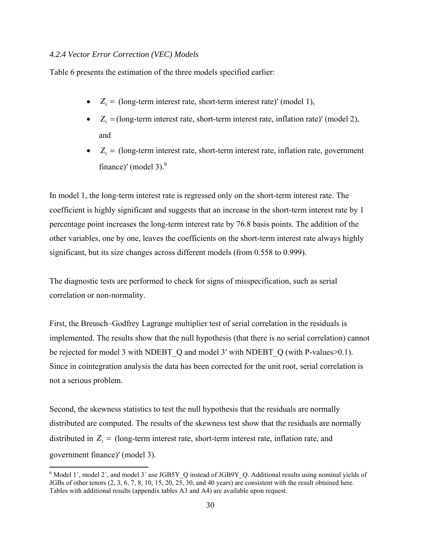#### *4.2.4 Vector Error Correction (VEC) Models*

Table 6 presents the estimation of the three models specified earlier:

- $Z_t =$  (long-term interest rate, short-term interest rate)' (model 1),
- $Z_t = \text{(long-term interest rate, short-term interest rate, inflation rate)}' \text{(model 2)},$ and
- $Z_t =$  (long-term interest rate, short-term interest rate, inflation rate, government finance)' (model 3). $<sup>6</sup>$ </sup>

In model 1, the long-term interest rate is regressed only on the short-term interest rate. The coefficient is highly significant and suggests that an increase in the short-term interest rate by 1 percentage point increases the long-term interest rate by 76.8 basis points. The addition of the other variables, one by one, leaves the coefficients on the short-term interest rate always highly significant, but its size changes across different models (from 0.558 to 0.999).

The diagnostic tests are performed to check for signs of misspecification, such as serial correlation or non-normality.

First, the Breusch–Godfrey Lagrange multiplier test of serial correlation in the residuals is implemented. The results show that the null hypothesis (that there is no serial correlation) cannot be rejected for model 3 with NDEBT\_Q and model 3' with NDEBT\_Q (with P-values>0.1). Since in cointegration analysis the data has been corrected for the unit root, serial correlation is not a serious problem.

Second, the skewness statistics to test the null hypothesis that the residuals are normally distributed are computed. The results of the skewness test show that the residuals are normally distributed in  $Z_t =$  (long-term interest rate, short-term interest rate, inflation rate, and government finance)ʹ (model 3).

 $6$  Model 1', model 2', and model 3' use JGB5Y\_Q instead of JGB9Y\_Q. Additional results using nominal yields of JGBs of other tenors (2, 3, 6, 7, 8, 10, 15, 20, 25, 30, and 40 years) are consistent with the result obtained here. Tables with additional results (appendix tables A3 and A4) are available upon request.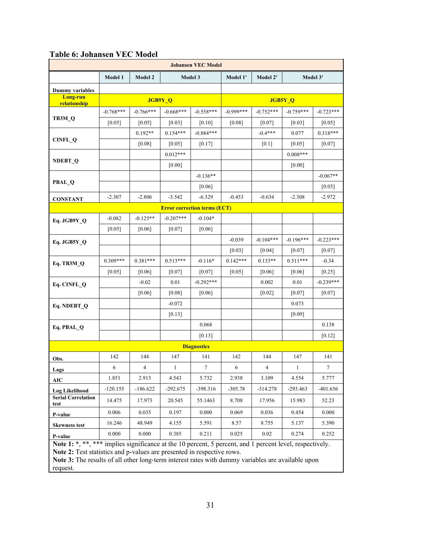| <b>Johansen VEC Model</b>                                                                                                                                                      |                                                  |             |             |                                     |             |             |             |             |
|--------------------------------------------------------------------------------------------------------------------------------------------------------------------------------|--------------------------------------------------|-------------|-------------|-------------------------------------|-------------|-------------|-------------|-------------|
|                                                                                                                                                                                | Model 3<br>Model 1<br><b>Model 2</b><br>Model 1' |             |             |                                     | Model 2'    |             | Model 3'    |             |
| Dummy variables                                                                                                                                                                |                                                  |             |             |                                     |             |             |             |             |
| <b>Long-run</b><br>relationship                                                                                                                                                |                                                  |             | JGB9Y_Q     |                                     |             |             | JGB5Y_Q     |             |
|                                                                                                                                                                                | $-0.768***$                                      | $-0.766***$ | $-0.668***$ | $-0.558***$                         | $-0.999***$ | $-0.752***$ | $-0.759***$ | $-0.723***$ |
| TB3M_Q                                                                                                                                                                         | $[0.05]$                                         | $[0.05]$    | [0.03]      | [0.10]                              | $[0.08]$    | [0.07]      | $[0.03]$    | $[0.05]$    |
|                                                                                                                                                                                |                                                  | $0.192**$   | $0.154***$  | $-0.884***$                         |             | $-0.4***$   | 0.077       | $0.318***$  |
| CINFL_Q                                                                                                                                                                        |                                                  | [0.08]      | [0.05]      | $[0.17]$                            |             | [0.1]       | [0.05]      | $[0.07]$    |
|                                                                                                                                                                                |                                                  |             | $0.012***$  |                                     |             |             | $0.008***$  |             |
| NDEBT <sub>Q</sub>                                                                                                                                                             |                                                  |             | $[0.00]$    |                                     |             |             | $[0.00]$    |             |
|                                                                                                                                                                                |                                                  |             |             | $-0.136**$                          |             |             |             | $-0.067**$  |
| PBAL_Q                                                                                                                                                                         |                                                  |             |             | $[0.06]$                            |             |             |             | $[0.03]$    |
| <b>CONSTANT</b>                                                                                                                                                                | $-2.307$                                         | $-2.806$    | $-3.542$    | $-6.329$                            | $-0.453$    | $-0.634$    | $-2.308$    | $-2.972$    |
|                                                                                                                                                                                |                                                  |             |             | <b>Error correction terms (ECT)</b> |             |             |             |             |
| Eq. JGB9Y_Q                                                                                                                                                                    | $-0.082$                                         | $-0.125**$  | $-0.207***$ | $-0.104*$                           |             |             |             |             |
|                                                                                                                                                                                | [0.05]                                           | $[0.06]$    | $[0.07]$    | $[0.06]$                            |             |             |             |             |
| Eq. JGB5Y_Q                                                                                                                                                                    |                                                  |             |             |                                     | $-0.039$    | $-0.104***$ | $-0.196***$ | $-0.223***$ |
|                                                                                                                                                                                |                                                  |             |             |                                     | [0.03]      | [0.04]      | [0.07]      | [0.07]      |
| Eq. TB3M Q                                                                                                                                                                     | $0.309***$                                       | $0.381***$  | $0.513***$  | $-0.116*$                           | $0.142***$  | $0.133**$   | $0.511***$  | $-0.34$     |
|                                                                                                                                                                                | [0.05]                                           | [0.06]      | $[0.07]$    | $[0.07]$                            | $[0.05]$    | $[0.06]$    | [0.06]      | $[0.25]$    |
| Eq. CINFL_Q                                                                                                                                                                    |                                                  | $-0.02$     | 0.01        | $-0.292***$                         |             | 0.002       | 0.01        | $-0.239***$ |
|                                                                                                                                                                                |                                                  | [0.06]      | $[0.08]$    | $[0.06]$                            |             | $[0.02]$    | $[0.07]$    | $[0.07]$    |
| Eq. NDEBT_Q                                                                                                                                                                    |                                                  |             | $-0.072$    |                                     |             |             | 0.073       |             |
|                                                                                                                                                                                |                                                  |             | $[0.13]$    |                                     |             |             | $[0.09]$    |             |
| Eq. PBAL_Q                                                                                                                                                                     |                                                  |             |             | 0.068                               |             |             |             | 0.138       |
|                                                                                                                                                                                |                                                  |             |             | $[0.13]$                            |             |             |             | [0.12]      |
|                                                                                                                                                                                |                                                  |             |             | <b>Diagnostics</b>                  |             |             |             |             |
| Obs.                                                                                                                                                                           | 142                                              | 144         | 147         | 141                                 | 142         | 144         | 147         | 141         |
| Lags                                                                                                                                                                           | 6                                                | 4           | 1           | 7.                                  | 6           | 4           | 1           |             |
| AIC                                                                                                                                                                            | 1.851                                            | 2.913       | 4.543       | 5.732                               | 2.938       | 3.109       | 4.554       | 5.777       |
| <b>Log Likelihood</b>                                                                                                                                                          | $-120.155$                                       | $-186.622$  | $-292.675$  | -398.316                            | $-305.78$   | $-314.278$  | $-293.463$  | $-401.656$  |
| <b>Serial Correlation</b><br>test                                                                                                                                              | 14.475                                           | 17.973      | 20.545      | 55.1463                             | 8.708       | 17.956      | 15.983      | 52.23       |
| P-value                                                                                                                                                                        | 0.006                                            | 0.035       | 0.197       | 0.000                               | 0.069       | 0.036       | 0.454       | 0.000       |
| <b>Skewness test</b>                                                                                                                                                           | 16.246                                           | 48.949      | 4.155       | 5.591                               | 8.57        | 8.755       | 5.137       | 5.390       |
| P-value                                                                                                                                                                        | 0.000                                            | 0.000       | 0.385       | 0.211                               | 0.025       | 0.02        | 0.274       | 0.252       |
| Note 1: *, *** implies significance at the 10 percent, 5 percent, and 1 percent level, respectively.<br>Note 2: Test statistics and p-values are presented in respective rows. |                                                  |             |             |                                     |             |             |             |             |

## **Table 6: Johansen VEC Model**

Note 3: The results of all other long-term interest rates with dummy variables are available upon

request.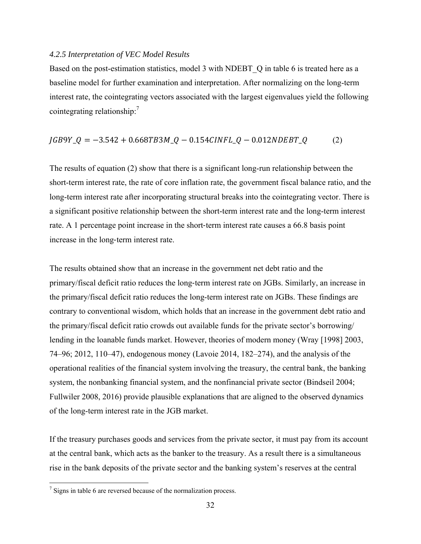#### *4.2.5 Interpretation of VEC Model Results*

Based on the post-estimation statistics, model 3 with NDEBT Q in table 6 is treated here as a baseline model for further examination and interpretation. After normalizing on the long-term interest rate, the cointegrating vectors associated with the largest eigenvalues yield the following cointegrating relationship: $\frac{7}{7}$ 

$$
JGB9Y_Q = -3.542 + 0.668TBSM_Q - 0.154CINFL_Q - 0.012NDEBT_Q \tag{2}
$$

The results of equation (2) show that there is a significant long-run relationship between the short-term interest rate, the rate of core inflation rate, the government fiscal balance ratio, and the long-term interest rate after incorporating structural breaks into the cointegrating vector. There is a significant positive relationship between the short-term interest rate and the long-term interest rate. A 1 percentage point increase in the short-term interest rate causes a 66.8 basis point increase in the long‐term interest rate.

The results obtained show that an increase in the government net debt ratio and the primary/fiscal deficit ratio reduces the long‐term interest rate on JGBs. Similarly, an increase in the primary/fiscal deficit ratio reduces the long-term interest rate on JGBs. These findings are contrary to conventional wisdom, which holds that an increase in the government debt ratio and the primary/fiscal deficit ratio crowds out available funds for the private sector's borrowing/ lending in the loanable funds market. However, theories of modern money (Wray [1998] 2003, 74–96; 2012, 110–47), endogenous money (Lavoie 2014, 182–274), and the analysis of the operational realities of the financial system involving the treasury, the central bank, the banking system, the nonbanking financial system, and the nonfinancial private sector (Bindseil 2004; Fullwiler 2008, 2016) provide plausible explanations that are aligned to the observed dynamics of the long-term interest rate in the JGB market.

If the treasury purchases goods and services from the private sector, it must pay from its account at the central bank, which acts as the banker to the treasury. As a result there is a simultaneous rise in the bank deposits of the private sector and the banking system's reserves at the central

 $\frac{7}{1}$  Signs in table 6 are reversed because of the normalization process.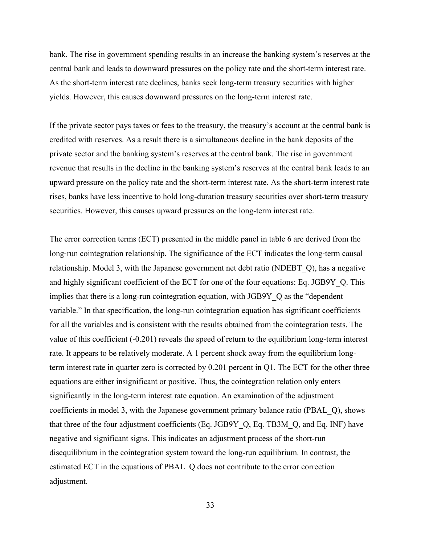bank. The rise in government spending results in an increase the banking system's reserves at the central bank and leads to downward pressures on the policy rate and the short-term interest rate. As the short-term interest rate declines, banks seek long-term treasury securities with higher yields. However, this causes downward pressures on the long-term interest rate.

If the private sector pays taxes or fees to the treasury, the treasury's account at the central bank is credited with reserves. As a result there is a simultaneous decline in the bank deposits of the private sector and the banking system's reserves at the central bank. The rise in government revenue that results in the decline in the banking system's reserves at the central bank leads to an upward pressure on the policy rate and the short-term interest rate. As the short-term interest rate rises, banks have less incentive to hold long-duration treasury securities over short-term treasury securities. However, this causes upward pressures on the long-term interest rate.

The error correction terms (ECT) presented in the middle panel in table 6 are derived from the long-run cointegration relationship. The significance of the ECT indicates the long-term causal relationship. Model 3, with the Japanese government net debt ratio (NDEBT\_Q), has a negative and highly significant coefficient of the ECT for one of the four equations: Eq. JGB9Y\_Q. This implies that there is a long-run cointegration equation, with JGB9Y Q as the "dependent" variable." In that specification, the long-run cointegration equation has significant coefficients for all the variables and is consistent with the results obtained from the cointegration tests. The value of this coefficient (-0.201) reveals the speed of return to the equilibrium long-term interest rate. It appears to be relatively moderate. A 1 percent shock away from the equilibrium longterm interest rate in quarter zero is corrected by 0.201 percent in Q1. The ECT for the other three equations are either insignificant or positive. Thus, the cointegration relation only enters significantly in the long-term interest rate equation. An examination of the adjustment coefficients in model 3, with the Japanese government primary balance ratio (PBAL\_Q), shows that three of the four adjustment coefficients (Eq. JGB9Y\_Q, Eq. TB3M\_Q, and Eq. INF) have negative and significant signs. This indicates an adjustment process of the short-run disequilibrium in the cointegration system toward the long-run equilibrium. In contrast, the estimated ECT in the equations of PBAL\_Q does not contribute to the error correction adjustment.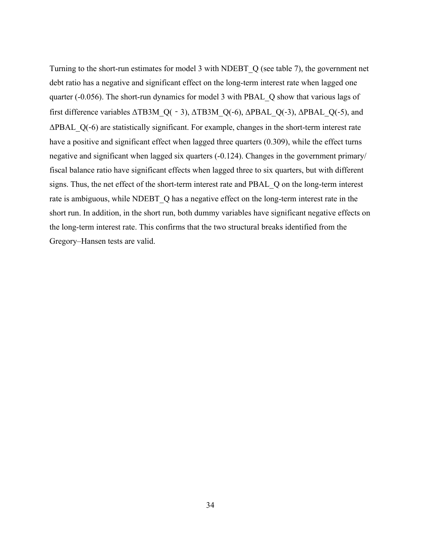Turning to the short-run estimates for model 3 with NDEBT\_Q (see table 7), the government net debt ratio has a negative and significant effect on the long-term interest rate when lagged one quarter (-0.056). The short-run dynamics for model 3 with PBAL\_Q show that various lags of first difference variables ΔTB3M\_Q(‐3), ΔTB3M\_Q(‐6), ΔPBAL\_Q(‐3), ΔPBAL\_Q(‐5), and ΔPBAL\_Q(‐6) are statistically significant. For example, changes in the short-term interest rate have a positive and significant effect when lagged three quarters (0.309), while the effect turns negative and significant when lagged six quarters (-0.124). Changes in the government primary/ fiscal balance ratio have significant effects when lagged three to six quarters, but with different signs. Thus, the net effect of the short-term interest rate and PBAL\_Q on the long-term interest rate is ambiguous, while NDEBT Q has a negative effect on the long-term interest rate in the short run. In addition, in the short run, both dummy variables have significant negative effects on the long-term interest rate. This confirms that the two structural breaks identified from the Gregory–Hansen tests are valid.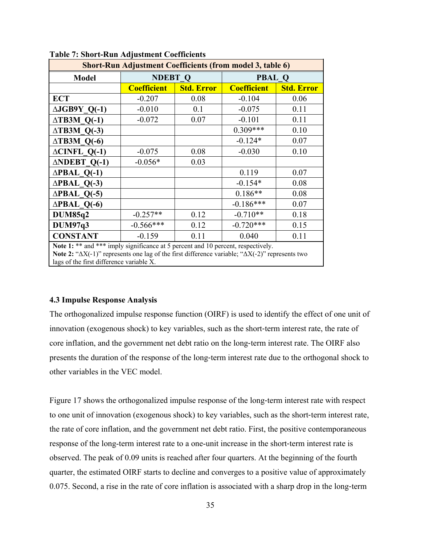| <b>Short-Run Adjustment Coefficients (from model 3, table 6)</b>                                                                                                                                                                                         |                    |                   |                    |                   |  |  |  |  |
|----------------------------------------------------------------------------------------------------------------------------------------------------------------------------------------------------------------------------------------------------------|--------------------|-------------------|--------------------|-------------------|--|--|--|--|
| <b>Model</b>                                                                                                                                                                                                                                             | <b>NDEBT Q</b>     |                   | <b>PBAL Q</b>      |                   |  |  |  |  |
|                                                                                                                                                                                                                                                          | <b>Coefficient</b> | <b>Std. Error</b> | <b>Coefficient</b> | <b>Std. Error</b> |  |  |  |  |
| <b>ECT</b>                                                                                                                                                                                                                                               | $-0.207$           | 0.08              | $-0.104$           | 0.06              |  |  |  |  |
| $\triangle JGB9Y$ Q(-1)                                                                                                                                                                                                                                  | $-0.010$           | 0.1               | $-0.075$           | 0.11              |  |  |  |  |
| $\triangle$ TB3M Q(-1)                                                                                                                                                                                                                                   | $-0.072$           | 0.07              | $-0.101$           | 0.11              |  |  |  |  |
| $\triangle$ TB3M Q(-3)                                                                                                                                                                                                                                   |                    |                   | $0.309***$         | 0.10              |  |  |  |  |
| $\triangle$ TB3M Q(-6)                                                                                                                                                                                                                                   |                    |                   | $-0.124*$          | 0.07              |  |  |  |  |
| $\triangle CINFL$ Q(-1)                                                                                                                                                                                                                                  | $-0.075$           | 0.08              | $-0.030$           | 0.10              |  |  |  |  |
| $\triangle \text{NDEBT}$ Q(-1)                                                                                                                                                                                                                           | $-0.056*$          | 0.03              |                    |                   |  |  |  |  |
| $\triangle PBAL$ Q(-1)                                                                                                                                                                                                                                   |                    |                   | 0.119              | 0.07              |  |  |  |  |
| $\triangle PBAL$ Q(-3)                                                                                                                                                                                                                                   |                    |                   | $-0.154*$          | 0.08              |  |  |  |  |
| $\triangle PBAL$ Q(-5)                                                                                                                                                                                                                                   |                    |                   | $0.186**$          | 0.08              |  |  |  |  |
| $\triangle$ PBAL Q(-6)                                                                                                                                                                                                                                   |                    |                   | $-0.186***$        | 0.07              |  |  |  |  |
| <b>DUM85q2</b>                                                                                                                                                                                                                                           | $-0.257**$         | 0.12              | $-0.710**$         | 0.18              |  |  |  |  |
| <b>DUM97q3</b>                                                                                                                                                                                                                                           | $-0.566***$        | 0.12              | $-0.720***$        | 0.15              |  |  |  |  |
| <b>CONSTANT</b>                                                                                                                                                                                                                                          | $-0.159$           | 0.11              | 0.040              | 0.11              |  |  |  |  |
| Note 1: ** and *** imply significance at 5 percent and 10 percent, respectively.<br><b>Note 2:</b> " $\Delta X(-1)$ " represents one lag of the first difference variable; " $\Delta X(-2)$ " represents two<br>lags of the first difference variable X. |                    |                   |                    |                   |  |  |  |  |

#### **Table 7: Short-Run Adjustment Coefficients**

#### **4.3 Impulse Response Analysis**

The orthogonalized impulse response function (OIRF) is used to identify the effect of one unit of innovation (exogenous shock) to key variables, such as the short-term interest rate, the rate of core inflation, and the government net debt ratio on the long‐term interest rate. The OIRF also presents the duration of the response of the long-term interest rate due to the orthogonal shock to other variables in the VEC model.

Figure 17 shows the orthogonalized impulse response of the long-term interest rate with respect to one unit of innovation (exogenous shock) to key variables, such as the short-term interest rate, the rate of core inflation, and the government net debt ratio. First, the positive contemporaneous response of the long-term interest rate to a one-unit increase in the short-term interest rate is observed. The peak of 0.09 units is reached after four quarters. At the beginning of the fourth quarter, the estimated OIRF starts to decline and converges to a positive value of approximately 0.075. Second, a rise in the rate of core inflation is associated with a sharp drop in the long‐term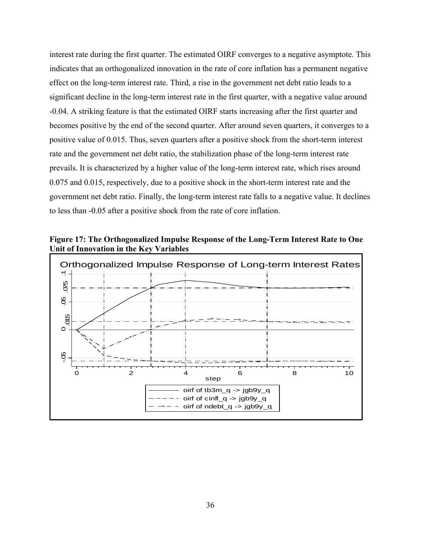interest rate during the first quarter. The estimated OIRF converges to a negative asymptote. This indicates that an orthogonalized innovation in the rate of core inflation has a permanent negative effect on the long-term interest rate. Third, a rise in the government net debt ratio leads to a significant decline in the long-term interest rate in the first quarter, with a negative value around -0.04. A striking feature is that the estimated OIRF starts increasing after the first quarter and becomes positive by the end of the second quarter. After around seven quarters, it converges to a positive value of 0.015. Thus, seven quarters after a positive shock from the short-term interest rate and the government net debt ratio, the stabilization phase of the long-term interest rate prevails. It is characterized by a higher value of the long-term interest rate, which rises around 0.075 and 0.015, respectively, due to a positive shock in the short-term interest rate and the government net debt ratio. Finally, the long-term interest rate falls to a negative value. It declines to less than -0.05 after a positive shock from the rate of core inflation.

**Figure 17: The Orthogonalized Impulse Response of the Long-Term Interest Rate to One Unit of Innovation in the Key Variables** 

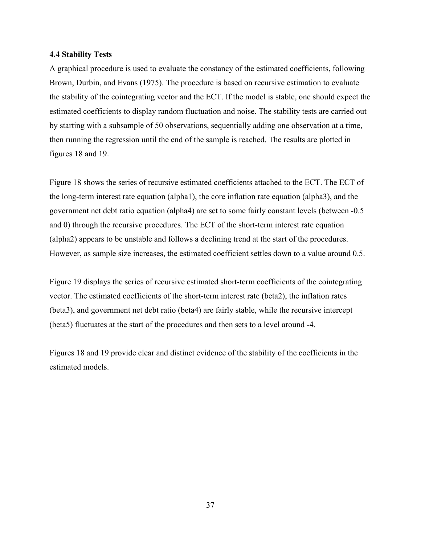#### **4.4 Stability Tests**

A graphical procedure is used to evaluate the constancy of the estimated coefficients, following Brown, Durbin, and Evans (1975). The procedure is based on recursive estimation to evaluate the stability of the cointegrating vector and the ECT. If the model is stable, one should expect the estimated coefficients to display random fluctuation and noise. The stability tests are carried out by starting with a subsample of 50 observations, sequentially adding one observation at a time, then running the regression until the end of the sample is reached. The results are plotted in figures 18 and 19.

Figure 18 shows the series of recursive estimated coefficients attached to the ECT. The ECT of the long-term interest rate equation (alpha1), the core inflation rate equation (alpha3), and the government net debt ratio equation (alpha4) are set to some fairly constant levels (between -0.5 and 0) through the recursive procedures. The ECT of the short-term interest rate equation (alpha2) appears to be unstable and follows a declining trend at the start of the procedures. However, as sample size increases, the estimated coefficient settles down to a value around 0.5.

Figure 19 displays the series of recursive estimated short-term coefficients of the cointegrating vector. The estimated coefficients of the short-term interest rate (beta2), the inflation rates (beta3), and government net debt ratio (beta4) are fairly stable, while the recursive intercept (beta5) fluctuates at the start of the procedures and then sets to a level around -4.

Figures 18 and 19 provide clear and distinct evidence of the stability of the coefficients in the estimated models.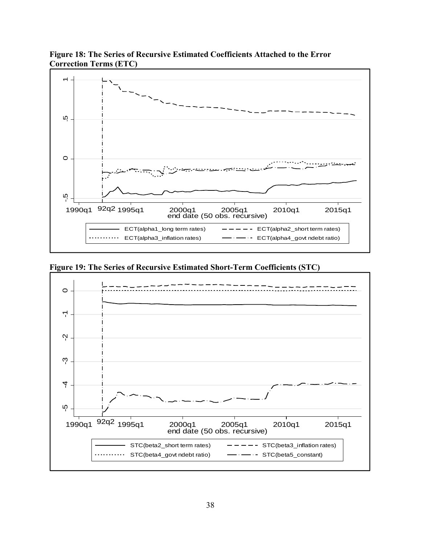

**Figure 18: The Series of Recursive Estimated Coefficients Attached to the Error Correction Terms (ETC)** 

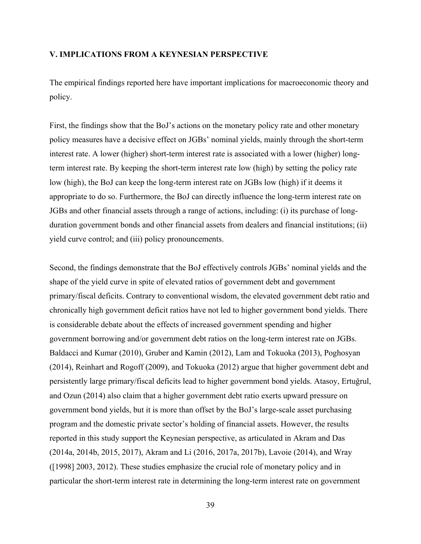#### **V. IMPLICATIONS FROM A KEYNESIAN PERSPECTIVE**

The empirical findings reported here have important implications for macroeconomic theory and policy.

First, the findings show that the BoJ's actions on the monetary policy rate and other monetary policy measures have a decisive effect on JGBs' nominal yields, mainly through the short-term interest rate. A lower (higher) short-term interest rate is associated with a lower (higher) longterm interest rate. By keeping the short-term interest rate low (high) by setting the policy rate low (high), the BoJ can keep the long-term interest rate on JGBs low (high) if it deems it appropriate to do so. Furthermore, the BoJ can directly influence the long-term interest rate on JGBs and other financial assets through a range of actions, including: (i) its purchase of longduration government bonds and other financial assets from dealers and financial institutions; (ii) yield curve control; and (iii) policy pronouncements.

Second, the findings demonstrate that the BoJ effectively controls JGBs' nominal yields and the shape of the yield curve in spite of elevated ratios of government debt and government primary/fiscal deficits. Contrary to conventional wisdom, the elevated government debt ratio and chronically high government deficit ratios have not led to higher government bond yields. There is considerable debate about the effects of increased government spending and higher government borrowing and/or government debt ratios on the long-term interest rate on JGBs. Baldacci and Kumar (2010), Gruber and Kamin (2012), Lam and Tokuoka (2013), Poghosyan (2014), Reinhart and Rogoff (2009), and Tokuoka (2012) argue that higher government debt and persistently large primary/fiscal deficits lead to higher government bond yields. Atasoy, Ertuğrul, and Ozun (2014) also claim that a higher government debt ratio exerts upward pressure on government bond yields, but it is more than offset by the BoJ's large-scale asset purchasing program and the domestic private sector's holding of financial assets. However, the results reported in this study support the Keynesian perspective, as articulated in Akram and Das (2014a, 2014b, 2015, 2017), Akram and Li (2016, 2017a, 2017b), Lavoie (2014), and Wray ([1998] 2003, 2012). These studies emphasize the crucial role of monetary policy and in particular the short-term interest rate in determining the long-term interest rate on government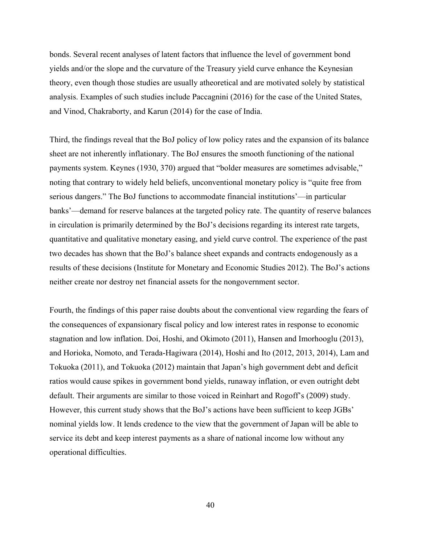bonds. Several recent analyses of latent factors that influence the level of government bond yields and/or the slope and the curvature of the Treasury yield curve enhance the Keynesian theory, even though those studies are usually atheoretical and are motivated solely by statistical analysis. Examples of such studies include Paccagnini (2016) for the case of the United States, and Vinod, Chakraborty, and Karun (2014) for the case of India.

Third, the findings reveal that the BoJ policy of low policy rates and the expansion of its balance sheet are not inherently inflationary. The BoJ ensures the smooth functioning of the national payments system. Keynes (1930, 370) argued that "bolder measures are sometimes advisable," noting that contrary to widely held beliefs, unconventional monetary policy is "quite free from serious dangers." The BoJ functions to accommodate financial institutions'—in particular banks'—demand for reserve balances at the targeted policy rate. The quantity of reserve balances in circulation is primarily determined by the BoJ's decisions regarding its interest rate targets, quantitative and qualitative monetary easing, and yield curve control. The experience of the past two decades has shown that the BoJ's balance sheet expands and contracts endogenously as a results of these decisions (Institute for Monetary and Economic Studies 2012). The BoJ's actions neither create nor destroy net financial assets for the nongovernment sector.

Fourth, the findings of this paper raise doubts about the conventional view regarding the fears of the consequences of expansionary fiscal policy and low interest rates in response to economic stagnation and low inflation. Doi, Hoshi, and Okimoto (2011), Hansen and Imorhooglu (2013), and Horioka, Nomoto, and Terada-Hagiwara (2014), Hoshi and Ito (2012, 2013, 2014), Lam and Tokuoka (2011), and Tokuoka (2012) maintain that Japan's high government debt and deficit ratios would cause spikes in government bond yields, runaway inflation, or even outright debt default. Their arguments are similar to those voiced in Reinhart and Rogoff's (2009) study. However, this current study shows that the BoJ's actions have been sufficient to keep JGBs' nominal yields low. It lends credence to the view that the government of Japan will be able to service its debt and keep interest payments as a share of national income low without any operational difficulties.

40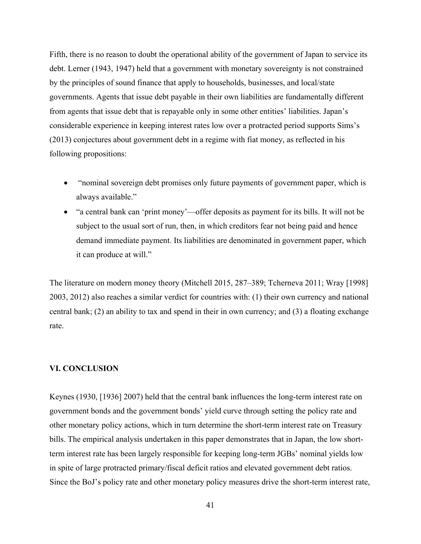Fifth, there is no reason to doubt the operational ability of the government of Japan to service its debt. Lerner (1943, 1947) held that a government with monetary sovereignty is not constrained by the principles of sound finance that apply to households, businesses, and local/state governments. Agents that issue debt payable in their own liabilities are fundamentally different from agents that issue debt that is repayable only in some other entities' liabilities. Japan's considerable experience in keeping interest rates low over a protracted period supports Sims's (2013) conjectures about government debt in a regime with fiat money, as reflected in his following propositions:

- "nominal sovereign debt promises only future payments of government paper, which is always available."
- "a central bank can 'print money'—offer deposits as payment for its bills. It will not be subject to the usual sort of run, then, in which creditors fear not being paid and hence demand immediate payment. Its liabilities are denominated in government paper, which it can produce at will."

The literature on modern money theory (Mitchell 2015, 287–389; Tcherneva 2011; Wray [1998] 2003, 2012) also reaches a similar verdict for countries with: (1) their own currency and national central bank; (2) an ability to tax and spend in their in own currency; and (3) a floating exchange rate.

#### **VI. CONCLUSION**

Keynes (1930, [1936] 2007) held that the central bank influences the long-term interest rate on government bonds and the government bonds' yield curve through setting the policy rate and other monetary policy actions, which in turn determine the short-term interest rate on Treasury bills. The empirical analysis undertaken in this paper demonstrates that in Japan, the low shortterm interest rate has been largely responsible for keeping long-term JGBs' nominal yields low in spite of large protracted primary/fiscal deficit ratios and elevated government debt ratios. Since the BoJ's policy rate and other monetary policy measures drive the short-term interest rate,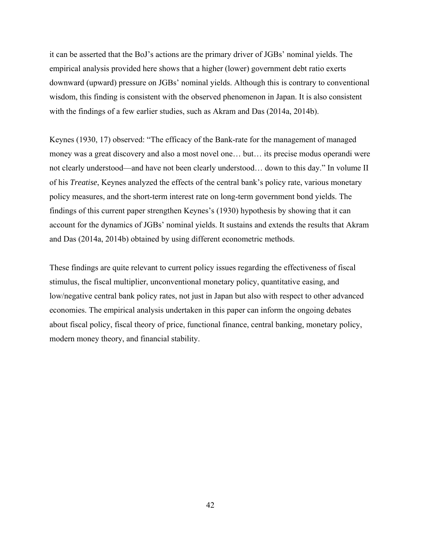it can be asserted that the BoJ's actions are the primary driver of JGBs' nominal yields. The empirical analysis provided here shows that a higher (lower) government debt ratio exerts downward (upward) pressure on JGBs' nominal yields. Although this is contrary to conventional wisdom, this finding is consistent with the observed phenomenon in Japan. It is also consistent with the findings of a few earlier studies, such as Akram and Das (2014a, 2014b).

Keynes (1930, 17) observed: "The efficacy of the Bank-rate for the management of managed money was a great discovery and also a most novel one… but… its precise modus operandi were not clearly understood—and have not been clearly understood… down to this day." In volume II of his *Treatise*, Keynes analyzed the effects of the central bank's policy rate, various monetary policy measures, and the short-term interest rate on long-term government bond yields. The findings of this current paper strengthen Keynes's (1930) hypothesis by showing that it can account for the dynamics of JGBs' nominal yields. It sustains and extends the results that Akram and Das (2014a, 2014b) obtained by using different econometric methods.

These findings are quite relevant to current policy issues regarding the effectiveness of fiscal stimulus, the fiscal multiplier, unconventional monetary policy, quantitative easing, and low/negative central bank policy rates, not just in Japan but also with respect to other advanced economies. The empirical analysis undertaken in this paper can inform the ongoing debates about fiscal policy, fiscal theory of price, functional finance, central banking, monetary policy, modern money theory, and financial stability.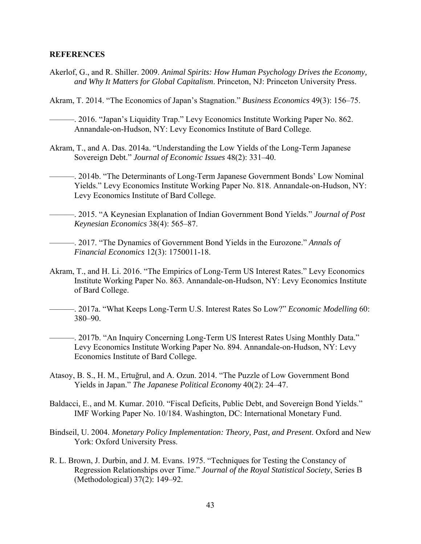#### **REFERENCES**

- Akerlof, G., and R. Shiller. 2009. *Animal Spirits: How Human Psychology Drives the Economy, and Why It Matters for Global Capitalism*. Princeton, NJ: Princeton University Press.
- Akram, T. 2014. "The Economics of Japan's Stagnation." *Business Economics* 49(3): 156–75.

———. 2016. "Japan's Liquidity Trap." Levy Economics Institute Working Paper No. 862. Annandale-on-Hudson, NY: Levy Economics Institute of Bard College.

- Akram, T., and A. Das. 2014a. "Understanding the Low Yields of the Long-Term Japanese Sovereign Debt." *Journal of Economic Issues* 48(2): 331–40.
- ———. 2014b. "The Determinants of Long-Term Japanese Government Bonds' Low Nominal Yields." Levy Economics Institute Working Paper No. 818. Annandale-on-Hudson, NY: Levy Economics Institute of Bard College.
- ———. 2015. "A Keynesian Explanation of Indian Government Bond Yields." *Journal of Post Keynesian Economics* 38(4): 565–87.

———. 2017. "The Dynamics of Government Bond Yields in the Eurozone." *Annals of Financial Economics* 12(3): 1750011-18.

- Akram, T., and H. Li. 2016. "The Empirics of Long-Term US Interest Rates." Levy Economics Institute Working Paper No. 863. Annandale-on-Hudson, NY: Levy Economics Institute of Bard College.
- ———. 2017a. "What Keeps Long-Term U.S. Interest Rates So Low?" *Economic Modelling* 60: 380–90.
- ———. 2017b. "An Inquiry Concerning Long-Term US Interest Rates Using Monthly Data." Levy Economics Institute Working Paper No. 894. Annandale-on-Hudson, NY: Levy Economics Institute of Bard College.
- Atasoy, B. S., H. M., Ertuğrul, and A. Ozun. 2014. "The Puzzle of Low Government Bond Yields in Japan." *The Japanese Political Economy* 40(2): 24–47.
- Baldacci, E., and M. Kumar. 2010. "Fiscal Deficits, Public Debt, and Sovereign Bond Yields." IMF Working Paper No. 10/184. Washington, DC: International Monetary Fund.
- Bindseil, U. 2004. *Monetary Policy Implementation: Theory, Past, and Present*. Oxford and New York: Oxford University Press.
- R. L. Brown, J. Durbin, and J. M. Evans. 1975. "Techniques for Testing the Constancy of Regression Relationships over Time." *Journal of the Royal Statistical Society*, Series B (Methodological) 37(2): 149–92.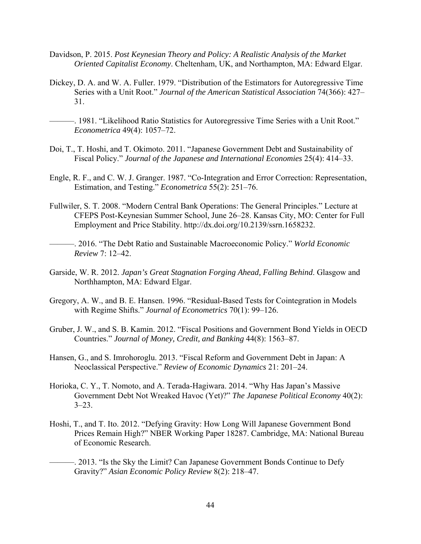- Davidson, P. 2015. *Post Keynesian Theory and Policy: A Realistic Analysis of the Market Oriented Capitalist Economy*. Cheltenham, UK, and Northampton, MA: Edward Elgar.
- Dickey, D. A. and W. A. Fuller. 1979. "Distribution of the Estimators for Autoregressive Time Series with a Unit Root." *Journal of the American Statistical Association* 74(366): 427– 31.
	- -. 1981. "Likelihood Ratio Statistics for Autoregressive Time Series with a Unit Root." *Econometrica* 49(4): 1057–72.
- Doi, T., T. Hoshi, and T. Okimoto. 2011. "Japanese Government Debt and Sustainability of Fiscal Policy." *Journal of the Japanese and International Economies* 25(4): 414–33.
- Engle, R. F., and C. W. J. Granger. 1987. "Co-Integration and Error Correction: Representation, Estimation, and Testing." *Econometrica* 55(2): 251–76.
- Fullwiler, S. T. 2008. "Modern Central Bank Operations: The General Principles." Lecture at CFEPS Post-Keynesian Summer School, June 26–28. Kansas City, MO: Center for Full Employment and Price Stability. http://dx.doi.org/10.2139/ssrn.1658232.
- ———. 2016. "The Debt Ratio and Sustainable Macroeconomic Policy." *World Economic Review* 7: 12–42.
- Garside, W. R. 2012. *Japan's Great Stagnation Forging Ahead, Falling Behind*. Glasgow and Northhampton, MA: Edward Elgar.
- Gregory, A. W., and B. E. Hansen. 1996. "Residual-Based Tests for Cointegration in Models with Regime Shifts." *Journal of Econometrics* 70(1): 99–126.
- Gruber, J. W., and S. B. Kamin. 2012. "Fiscal Positions and Government Bond Yields in OECD Countries." *Journal of Money, Credit, and Banking* 44(8): 1563–87.
- Hansen, G., and S. Imrohoroglu. 2013. "Fiscal Reform and Government Debt in Japan: A Neoclassical Perspective." *Review of Economic Dynamics* 21: 201–24.
- Horioka, C. Y., T. Nomoto, and A. Terada-Hagiwara. 2014. "Why Has Japan's Massive Government Debt Not Wreaked Havoc (Yet)?" *The Japanese Political Economy* 40(2):  $3 - 23$ .
- Hoshi, T., and T. Ito. 2012. "Defying Gravity: How Long Will Japanese Government Bond Prices Remain High?" NBER Working Paper 18287. Cambridge, MA: National Bureau of Economic Research.
	- -. 2013. "Is the Sky the Limit? Can Japanese Government Bonds Continue to Defy Gravity?" *Asian Economic Policy Review* 8(2): 218–47.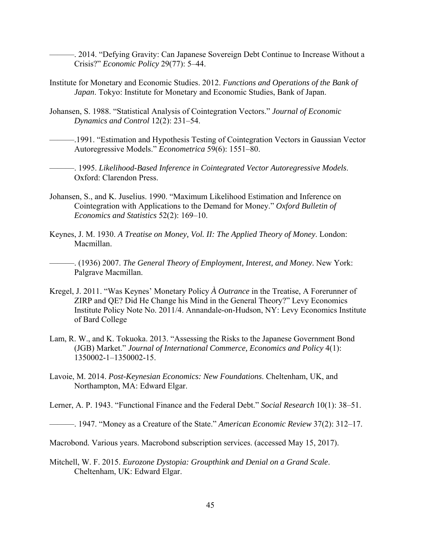———. 2014. "Defying Gravity: Can Japanese Sovereign Debt Continue to Increase Without a Crisis?" *Economic Policy* 29(77): 5–44.

- Institute for Monetary and Economic Studies. 2012. *Functions and Operations of the Bank of Japan*. Tokyo: Institute for Monetary and Economic Studies, Bank of Japan.
- Johansen, S. 1988. "Statistical Analysis of Cointegration Vectors." *Journal of Economic Dynamics and Control* 12(2): 231–54.

———.1991. "Estimation and Hypothesis Testing of Cointegration Vectors in Gaussian Vector Autoregressive Models." *Econometrica* 59(6): 1551–80.

———. 1995. *Likelihood-Based Inference in Cointegrated Vector Autoregressive Models*. Oxford: Clarendon Press.

- Johansen, S., and K. Juselius. 1990. "Maximum Likelihood Estimation and Inference on Cointegration with Applications to the Demand for Money." *Oxford Bulletin of Economics and Statistics* 52(2): 169–10.
- Keynes, J. M. 1930. *A Treatise on Money, Vol. II: The Applied Theory of Money*. London: Macmillan.

———. (1936) 2007. *The General Theory of Employment, Interest, and Money*. New York: Palgrave Macmillan.

- Kregel, J. 2011. "Was Keynes' Monetary Policy *À Outrance* in the Treatise, A Forerunner of ZIRP and QE? Did He Change his Mind in the General Theory?" Levy Economics Institute Policy Note No. 2011/4. Annandale-on-Hudson, NY: Levy Economics Institute of Bard College
- Lam, R. W., and K. Tokuoka. 2013. "Assessing the Risks to the Japanese Government Bond (JGB) Market." *Journal of International Commerce, Economics and Policy* 4(1): 1350002-1–1350002-15.
- Lavoie, M. 2014. *Post-Keynesian Economics: New Foundations*. Cheltenham, UK, and Northampton, MA: Edward Elgar.

Lerner, A. P. 1943. "Functional Finance and the Federal Debt." *Social Research* 10(1): 38–51.

———. 1947. "Money as a Creature of the State." *American Economic Review* 37(2): 312–17.

Macrobond. Various years. Macrobond subscription services. (accessed May 15, 2017).

Mitchell, W. F. 2015. *Eurozone Dystopia: Groupthink and Denial on a Grand Scale*. Cheltenham, UK: Edward Elgar.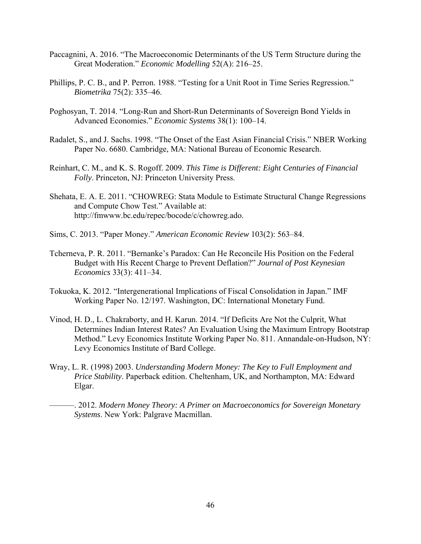- Paccagnini, A. 2016. "The Macroeconomic Determinants of the US Term Structure during the Great Moderation." *Economic Modelling* 52(A): 216–25.
- Phillips, P. C. B., and P. Perron. 1988. "Testing for a Unit Root in Time Series Regression." *Biometrika* 75(2): 335–46.
- Poghosyan, T. 2014. "Long-Run and Short-Run Determinants of Sovereign Bond Yields in Advanced Economies." *Economic Systems* 38(1): 100–14.
- Radalet, S., and J. Sachs. 1998. "The Onset of the East Asian Financial Crisis." NBER Working Paper No. 6680. Cambridge, MA: National Bureau of Economic Research.
- Reinhart, C. M., and K. S. Rogoff. 2009. *This Time is Different: Eight Centuries of Financial Folly*. Princeton, NJ: Princeton University Press.
- Shehata, E. A. E. 2011. "CHOWREG: Stata Module to Estimate Structural Change Regressions and Compute Chow Test." Available at: http://fmwww.bc.edu/repec/bocode/c/chowreg.ado.
- Sims, C. 2013. "Paper Money." *American Economic Review* 103(2): 563–84.
- Tcherneva, P. R. 2011. "Bernanke's Paradox: Can He Reconcile His Position on the Federal Budget with His Recent Charge to Prevent Deflation?" *Journal of Post Keynesian Economics* 33(3): 411–34.
- Tokuoka, K. 2012. "Intergenerational Implications of Fiscal Consolidation in Japan." IMF Working Paper No. 12/197. Washington, DC: International Monetary Fund.
- Vinod, H. D., L. Chakraborty, and H. Karun. 2014. "If Deficits Are Not the Culprit, What Determines Indian Interest Rates? An Evaluation Using the Maximum Entropy Bootstrap Method." Levy Economics Institute Working Paper No. 811. Annandale-on-Hudson, NY: Levy Economics Institute of Bard College.
- Wray, L. R. (1998) 2003. *Understanding Modern Money: The Key to Full Employment and Price Stability*. Paperback edition. Cheltenham, UK, and Northampton, MA: Edward Elgar.
	- ———. 2012. *Modern Money Theory: A Primer on Macroeconomics for Sovereign Monetary Systems*. New York: Palgrave Macmillan.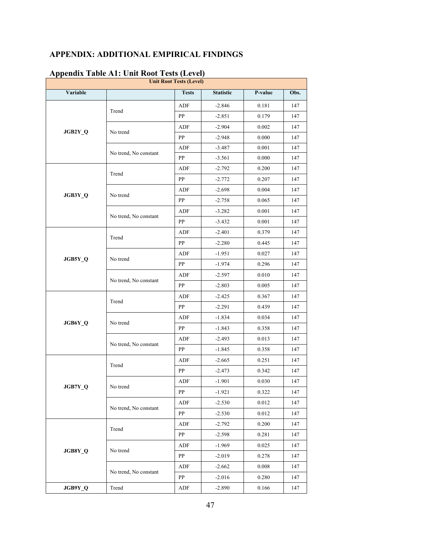# **APPENDIX: ADDITIONAL EMPIRICAL FINDINGS**

|          | $\Delta$<br><b>Unit Root Tests (Level)</b> |              |                  |                                                                                                                                                                                                                               |      |  |  |  |
|----------|--------------------------------------------|--------------|------------------|-------------------------------------------------------------------------------------------------------------------------------------------------------------------------------------------------------------------------------|------|--|--|--|
| Variable |                                            | <b>Tests</b> | <b>Statistic</b> | P-value                                                                                                                                                                                                                       | Obs. |  |  |  |
|          |                                            | ADF          | $-2.846$         | 0.181                                                                                                                                                                                                                         | 147  |  |  |  |
|          | Trend                                      | PP           | $-2.851$         | 0.179                                                                                                                                                                                                                         | 147  |  |  |  |
| JGB2Y_Q  |                                            | ADF          | $-2.904$         | 0.002                                                                                                                                                                                                                         | 147  |  |  |  |
|          | No trend                                   | PP           | $-2.948$         | 0.000                                                                                                                                                                                                                         | 147  |  |  |  |
|          |                                            | ${\sf ADF}$  | $-3.487$         | 0.001                                                                                                                                                                                                                         | 147  |  |  |  |
|          | No trend, No constant                      | PP           | $-3.561$         | 0.000                                                                                                                                                                                                                         | 147  |  |  |  |
|          | Trend                                      | ${\sf ADF}$  | $-2.792$         | 0.200                                                                                                                                                                                                                         | 147  |  |  |  |
|          |                                            | PP           | $-2.772$         | 0.207                                                                                                                                                                                                                         | 147  |  |  |  |
|          |                                            | ADF          | $-2.698$         | 0.004                                                                                                                                                                                                                         | 147  |  |  |  |
| JGB3Y_Q  | No trend                                   | PP           | $-2.758$         | 0.065                                                                                                                                                                                                                         | 147  |  |  |  |
|          |                                            | ADF          | $-3.282$         | 0.001                                                                                                                                                                                                                         | 147  |  |  |  |
|          | No trend, No constant                      | PP           | $-3.432$         | 0.001                                                                                                                                                                                                                         | 147  |  |  |  |
|          |                                            | ADF          | $-2.401$         | 0.379<br>0.445<br>0.027<br>0.296<br>0.010<br>0.005<br>0.367<br>0.439<br>0.034<br>0.358<br>0.013<br>0.358<br>0.251<br>0.342<br>0.030<br>0.322<br>0.012<br>0.012<br>0.200<br>0.281<br>0.025<br>0.278<br>0.008<br>0.280<br>0.166 | 147  |  |  |  |
|          | Trend                                      | ${\bf PP}$   | $-2.280$         |                                                                                                                                                                                                                               | 147  |  |  |  |
|          |                                            | ADF          | $-1.951$         |                                                                                                                                                                                                                               | 147  |  |  |  |
| JGB5Y_Q  | No trend                                   | PP           | $-1.974$         |                                                                                                                                                                                                                               | 147  |  |  |  |
|          |                                            | ${\rm ADF}$  | $-2.597$         |                                                                                                                                                                                                                               | 147  |  |  |  |
|          | No trend, No constant                      | PP           | $-2.803$         |                                                                                                                                                                                                                               | 147  |  |  |  |
|          |                                            | ${\sf ADF}$  | $-2.425$         |                                                                                                                                                                                                                               | 147  |  |  |  |
|          | Trend                                      | PP           | $-2.291$         |                                                                                                                                                                                                                               | 147  |  |  |  |
|          |                                            | ADF          | $-1.834$         |                                                                                                                                                                                                                               | 147  |  |  |  |
| JGB6Y_Q  | No trend                                   | PP           | $-1.843$         |                                                                                                                                                                                                                               | 147  |  |  |  |
|          |                                            | ADF          | $-2.493$         |                                                                                                                                                                                                                               | 147  |  |  |  |
|          | No trend, No constant                      | ${\bf PP}$   | $-1.845$         |                                                                                                                                                                                                                               | 147  |  |  |  |
|          |                                            | ADF          | $-2.665$         |                                                                                                                                                                                                                               | 147  |  |  |  |
|          | Trend                                      | ${\bf PP}$   | $-2.473$         |                                                                                                                                                                                                                               | 147  |  |  |  |
|          |                                            | ADF          | $-1.901$         |                                                                                                                                                                                                                               | 147  |  |  |  |
| JGB7Y_Q  | No trend                                   | PP           | $-1.921$         |                                                                                                                                                                                                                               | 147  |  |  |  |
|          |                                            | ADF          | $-2.530$         |                                                                                                                                                                                                                               | 147  |  |  |  |
|          | No trend, No constant                      | PP           | $-2.530$         |                                                                                                                                                                                                                               | 147  |  |  |  |
|          |                                            | ADF          | $-2.792$         |                                                                                                                                                                                                                               | 147  |  |  |  |
|          | Trend                                      | PP           | $-2.598$         |                                                                                                                                                                                                                               | 147  |  |  |  |
|          |                                            | ADF          | $-1.969$         |                                                                                                                                                                                                                               | 147  |  |  |  |
| JGB8Y_Q  | No trend                                   | PP           | $-2.019$         |                                                                                                                                                                                                                               | 147  |  |  |  |
|          |                                            | ADF          | $-2.662$         |                                                                                                                                                                                                                               | 147  |  |  |  |
|          | No trend, No constant                      | PP           | $-2.016$         |                                                                                                                                                                                                                               | 147  |  |  |  |
| JGB9Y_Q  | Trend                                      | ADF          | $-2.890$         |                                                                                                                                                                                                                               | 147  |  |  |  |

## **Appendix Table A1: Unit Root Tests (Level)**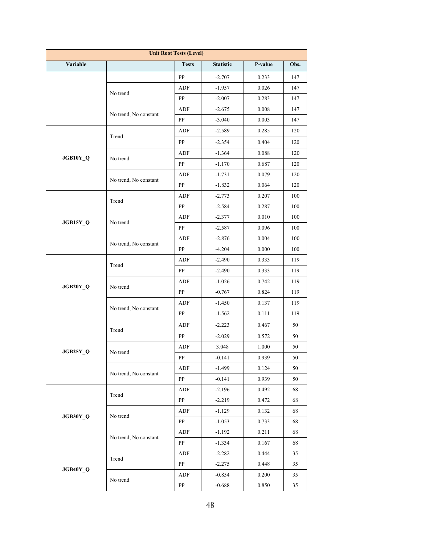| <b>Unit Root Tests (Level)</b> |                       |              |                  |         |      |  |  |
|--------------------------------|-----------------------|--------------|------------------|---------|------|--|--|
| Variable                       |                       | <b>Tests</b> | <b>Statistic</b> | P-value | Obs. |  |  |
|                                |                       | PP           | $-2.707$         | 0.233   | 147  |  |  |
|                                |                       | ADF          | $-1.957$         | 0.026   | 147  |  |  |
|                                | No trend              | PP           | $-2.007$         | 0.283   | 147  |  |  |
|                                |                       | ADF          | $-2.675$         | 0.008   | 147  |  |  |
|                                | No trend, No constant | PP           | $-3.040$         | 0.003   | 147  |  |  |
|                                |                       | ADF          | $-2.589$         | 0.285   | 120  |  |  |
|                                | Trend                 | PP           | $-2.354$         | 0.404   | 120  |  |  |
|                                |                       | ADF          | $-1.364$         | 0.088   | 120  |  |  |
| JGB10Y_Q                       | No trend              | PP           | $-1.170$         | 0.687   | 120  |  |  |
|                                |                       | ADF          | $-1.731$         | 0.079   | 120  |  |  |
|                                | No trend, No constant | PP           | $-1.832$         | 0.064   | 120  |  |  |
|                                |                       | ADF          | $-2.773$         | 0.207   | 100  |  |  |
|                                | Trend                 | PP           | $-2.584$         | 0.287   | 100  |  |  |
|                                |                       | ADF          | $-2.377$         | 0.010   | 100  |  |  |
| JGB15Y_Q                       | No trend              | PP           | $-2.587$         | 0.096   | 100  |  |  |
|                                | No trend, No constant | ADF          | $-2.876$         | 0.004   | 100  |  |  |
|                                |                       | PP           | $-4.204$         | 0.000   | 100  |  |  |
|                                | Trend                 | ADF          | $-2.490$         | 0.333   | 119  |  |  |
|                                |                       | PP           | $-2.490$         | 0.333   | 119  |  |  |
|                                |                       | ADF          | $-1.026$         | 0.742   | 119  |  |  |
| JGB20Y_Q                       | No trend              | PP           | $-0.767$         | 0.824   | 119  |  |  |
|                                |                       | ADF          | $-1.450$         | 0.137   | 119  |  |  |
|                                | No trend, No constant | PP           | $-1.562$         | 0.111   | 119  |  |  |
|                                | Trend                 | ADF          | $-2.223$         | 0.467   | 50   |  |  |
|                                |                       | PP           | $-2.029$         | 0.572   | 50   |  |  |
| JGB25Y Q                       |                       | ADF          | 3.048            | 1.000   | 50   |  |  |
|                                | No trend              | PP.          | $-0.141$         | 0.939   | 50   |  |  |
|                                |                       | ADF          | $-1.499$         | 0.124   | 50   |  |  |
|                                | No trend, No constant | PP           | $-0.141$         | 0.939   | 50   |  |  |
|                                | Trend                 | ADF          | $-2.196$         | 0.492   | 68   |  |  |
|                                |                       | PP           | $-2.219$         | 0.472   | 68   |  |  |
|                                | No trend              | ADF          | $-1.129$         | 0.132   | 68   |  |  |
| JGB30Y_Q                       |                       | PP           | $-1.053$         | 0.733   | 68   |  |  |
|                                | No trend, No constant | ADF          | $-1.192$         | 0.211   | 68   |  |  |
|                                |                       | PP           | $-1.334$         | 0.167   | 68   |  |  |
|                                | Trend                 | ADF          | $-2.282$         | 0.444   | 35   |  |  |
| JGB40Y_Q                       |                       | PP           | $-2.275$         | 0.448   | 35   |  |  |
|                                |                       | ADF          | $-0.854$         | 0.200   | 35   |  |  |
|                                | No trend              | PP           | $-0.688$         | 0.850   | 35   |  |  |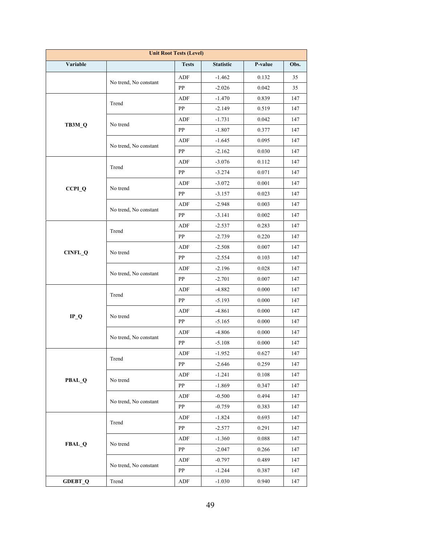| <b>Unit Root Tests (Level)</b> |                       |              |                  |         |      |  |  |
|--------------------------------|-----------------------|--------------|------------------|---------|------|--|--|
| Variable                       |                       | <b>Tests</b> | <b>Statistic</b> | P-value | Obs. |  |  |
|                                |                       | ADF          | $-1.462$         | 0.132   | 35   |  |  |
|                                | No trend, No constant | PP           | $-2.026$         | 0.042   | 35   |  |  |
|                                |                       | ADF          | $-1.470$         | 0.839   | 147  |  |  |
|                                | Trend                 | PP           | $-2.149$         | 0.519   | 147  |  |  |
|                                | No trend              | ADF          | $-1.731$         | 0.042   | 147  |  |  |
| TB3M_Q                         |                       | PP           | $-1.807$         | 0.377   | 147  |  |  |
|                                | No trend, No constant | ADF          | $-1.645$         | 0.095   | 147  |  |  |
|                                |                       | PP           | $-2.162$         | 0.030   | 147  |  |  |
|                                | Trend                 | ADF          | $-3.076$         | 0.112   | 147  |  |  |
|                                |                       | PP           | $-3.274$         | 0.071   | 147  |  |  |
|                                | No trend              | ADF          | $-3.072$         | 0.001   | 147  |  |  |
| $CCPI_Q$                       |                       | PP           | $-3.157$         | 0.023   | 147  |  |  |
|                                |                       | ADF          | $-2.948$         | 0.003   | 147  |  |  |
|                                | No trend, No constant | PP           | $-3.141$         | 0.002   | 147  |  |  |
|                                | Trend                 | ADF          | $-2.537$         | 0.283   | 147  |  |  |
|                                |                       | ${\bf PP}$   | $-2.739$         | 0.220   | 147  |  |  |
|                                | No trend              | ADF          | $-2.508$         | 0.007   | 147  |  |  |
| CINFL_Q                        |                       | PP           | $-2.554$         | 0.103   | 147  |  |  |
|                                |                       | ADF          | $-2.196$         | 0.028   | 147  |  |  |
|                                | No trend, No constant | PP           | $-2.701$         | 0.007   | 147  |  |  |
|                                | Trend                 | ADF          | $-4.882$         | 0.000   | 147  |  |  |
|                                |                       | PP           | $-5.193$         | 0.000   | 147  |  |  |
|                                | No trend              | ADF          | $-4.861$         | 0.000   | 147  |  |  |
| $IP_Q$                         |                       | PP           | $-5.165$         | 0.000   | 147  |  |  |
|                                | No trend, No constant | ADF          | $-4.806$         | 0.000   | 147  |  |  |
|                                |                       | PP           | $-5.108$         | 0.000   | 147  |  |  |
|                                | Trend                 | ADF          | $-1.952$         | 0.627   | 147  |  |  |
|                                |                       | ${\bf PP}$   | $-2.646$         | 0.259   | 147  |  |  |
| PBAL_Q                         | No trend              | ADF          | $-1.241$         | 0.108   | 147  |  |  |
|                                |                       | PP           | $-1.869$         | 0.347   | 147  |  |  |
|                                | No trend, No constant | ADF          | $-0.500$         | 0.494   | 147  |  |  |
|                                |                       | PP           | $-0.759$         | 0.383   | 147  |  |  |
|                                | Trend                 | ADF          | $-1.824$         | 0.693   | 147  |  |  |
|                                |                       | PP           | $-2.577$         | 0.291   | 147  |  |  |
| FBAL_Q                         | No trend              | ADF          | $-1.360$         | 0.088   | 147  |  |  |
|                                |                       | PP           | $-2.047$         | 0.266   | 147  |  |  |
|                                | No trend, No constant | ADF          | $-0.797$         | 0.489   | 147  |  |  |
|                                |                       | PP           | $-1.244$         | 0.387   | 147  |  |  |
| <b>GDEBT_Q</b>                 | Trend                 | ADF          | $-1.030$         | 0.940   | 147  |  |  |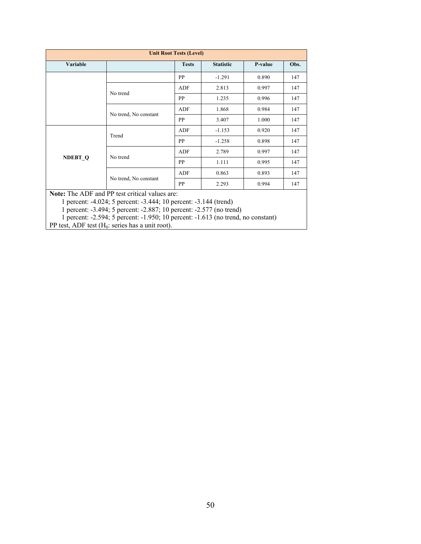| <b>Unit Root Tests (Level)</b> |                                                |              |                  |         |                                                             |
|--------------------------------|------------------------------------------------|--------------|------------------|---------|-------------------------------------------------------------|
| Variable                       |                                                | <b>Tests</b> | <b>Statistic</b> | P-value | Obs.                                                        |
|                                |                                                | <b>PP</b>    | $-1.291$         | 0.890   | 147                                                         |
|                                | No trend                                       | ADF          | 2.813            | 0.997   | 147                                                         |
|                                |                                                | <b>PP</b>    | 1.235            | 0.996   | 147<br>147<br>147<br>147<br>147<br>147<br>147<br>147<br>147 |
|                                |                                                | ADF          | 1.868            | 0.984   |                                                             |
|                                | No trend, No constant                          | PP           | 3.407            | 1.000   |                                                             |
| NDEBT <sub>Q</sub>             | Trend                                          | ADF          | $-1.153$         | 0.920   |                                                             |
|                                |                                                | PP           | $-1.258$         | 0.898   |                                                             |
|                                | No trend                                       | ADF          | 2.789            | 0.997   |                                                             |
|                                |                                                | PP           | 1.111            | 0.995   |                                                             |
|                                |                                                | ADF          | 0.863            | 0.893   |                                                             |
|                                | No trend, No constant                          | <b>PP</b>    | 2.293            | 0.994   |                                                             |
|                                | Note: The ADE and PP test critical values are: |              |                  |         |                                                             |

**Note:** The ADF and PP test critical values are:

1 percent: -4.024; 5 percent: -3.444; 10 percent: -3.144 (trend)

1 percent: -3.494; 5 percent: -2.887; 10 percent: -2.577 (no trend)

1 percent: -2.594; 5 percent: -1.950; 10 percent: -1.613 (no trend, no constant)

PP test, ADF test  $(H_0:$  series has a unit root).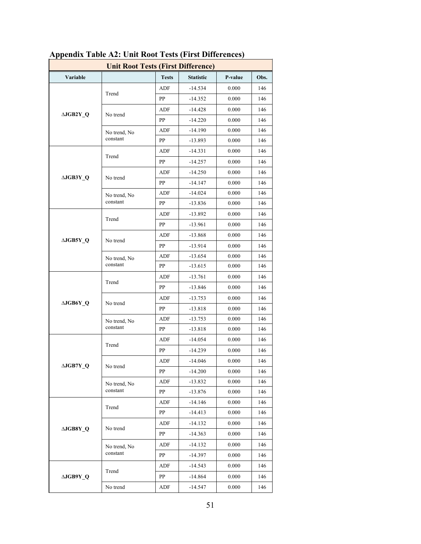| <b>Unit Root Tests (First Difference)</b> |              |              |                  |         |                          |  |
|-------------------------------------------|--------------|--------------|------------------|---------|--------------------------|--|
| Variable                                  |              | <b>Tests</b> | <b>Statistic</b> | P-value | Obs.                     |  |
| ∆JGB2Y Q                                  |              | ADF          | $-14.534$        | 0.000   | 146                      |  |
|                                           | Trend        | PP           | $-14.352$        | 0.000   | 146                      |  |
|                                           |              | ADF          | $-14.428$        | 0.000   | 146                      |  |
|                                           | No trend     | PP           | $-14.220$        | 0.000   | 146                      |  |
|                                           | No trend, No | ADF          | $-14.190$        | 0.000   | 146                      |  |
|                                           | constant     | PP           | $-13.893$        | 0.000   | 146                      |  |
|                                           | Trend        | ADF          | $-14.331$        | 0.000   | 146                      |  |
|                                           |              | PP           | $-14.257$        | 0.000   | 146                      |  |
|                                           |              | ADF          | $-14.250$        | 0.000   | 146                      |  |
| ∆JGB3Y Q                                  | No trend     | PP           | $-14.147$        | 0.000   | 146                      |  |
|                                           | No trend, No | ADF          | $-14.024$        | 0.000   | 146                      |  |
|                                           | constant     | PP           | $-13.836$        | 0.000   | 146                      |  |
|                                           | Trend        | ADF          | $-13.892$        | 0.000   | 146                      |  |
|                                           |              | PP           | $-13.961$        | 0.000   | 146                      |  |
|                                           |              | ADF          | $-13.868$        | 0.000   | 146<br>146<br>146<br>146 |  |
| ∆JGB5Y Q                                  | No trend     | PP           | $-13.914$        | 0.000   |                          |  |
|                                           | No trend, No | ADF          | $-13.654$        | 0.000   |                          |  |
|                                           | constant     | PP           | $-13.615$        | 0.000   |                          |  |
|                                           | Trend        | ADF          | $-13.761$        | 0.000   | 146                      |  |
|                                           |              | PP           | $-13.846$        | 0.000   | 146<br>146<br>146<br>146 |  |
| $\triangle JGB6Y$ <sup>O</sup>            | No trend     | ADF          | $-13.753$        | 0.000   | 146<br>146<br>146        |  |
|                                           |              | PP           | $-13.818$        | 0.000   |                          |  |
|                                           | No trend, No | ADF          | $-13.753$        | 0.000   |                          |  |
|                                           | constant     | PP           | $-13.818$        | 0.000   |                          |  |
|                                           | Trend        | ADF          | $-14.054$        | 0.000   |                          |  |
| ∆JGB7Y_Q                                  |              | PP           | $-14.239$        | 0.000   |                          |  |
|                                           | No trend     | ADF          | $-14.046$        | 0.000   | 146                      |  |
|                                           |              | PP           | $-14.200$        | 0.000   | 146                      |  |
|                                           | No trend, No | ADF          | $-13.832$        | 0.000   | 146                      |  |
|                                           | constant     | ${\rm PP}$   | $-13.876$        | 0.000   | 146                      |  |
|                                           | Trend        | ADF          | $-14.146$        | 0.000   | 146                      |  |
| $\triangle JGB8Y_Q$                       |              | PP           | $-14.413$        | 0.000   | 146                      |  |
|                                           | No trend     | ADF          | $-14.132$        | 0.000   | 146                      |  |
|                                           |              | PP           | $-14.363$        | 0.000   | 146                      |  |
|                                           | No trend, No | ADF          | $-14.132$        | 0.000   | 146                      |  |
|                                           | constant     | PP           | $-14.397$        | 0.000   | 146                      |  |
|                                           | Trend        | ADF          | $-14.543$        | 0.000   | 146                      |  |
| $\triangle JGB9Y_Q$                       |              | PP           | $-14.864$        | 0.000   | 146                      |  |
|                                           | No trend     | ADF          | $-14.547$        | 0.000   | 146                      |  |

# **Appendix Table A2: Unit Root Tests (First Differences)**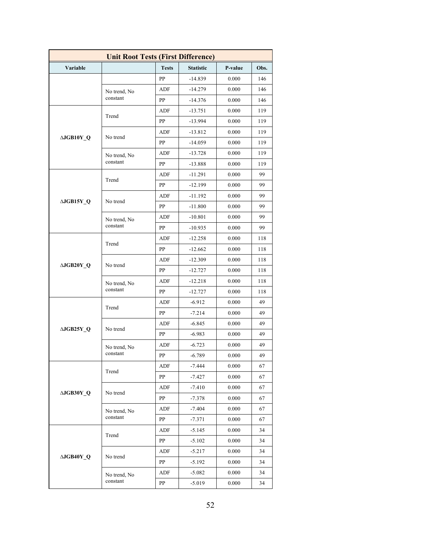| <b>Unit Root Tests (First Difference)</b> |                          |              |                  |         |           |  |
|-------------------------------------------|--------------------------|--------------|------------------|---------|-----------|--|
| Variable                                  |                          | <b>Tests</b> | <b>Statistic</b> | P-value | Obs.      |  |
|                                           |                          | PP           | $-14.839$        | 0.000   | 146       |  |
|                                           | No trend, No             | ADF          | $-14.279$        | 0.000   | 146       |  |
|                                           | constant                 | PP           | $-14.376$        | 0.000   | 146       |  |
|                                           |                          | ADF          | $-13.751$        | 0.000   | 119       |  |
|                                           | Trend                    | PP           | $-13.994$        | 0.000   | 119       |  |
|                                           |                          | ADF          | $-13.812$        | 0.000   | 119       |  |
| ∆JGB10Y Q                                 | No trend                 | PP           | $-14.059$        | 0.000   | 119       |  |
|                                           | No trend, No<br>constant | ADF          | $-13.728$        | 0.000   | 119       |  |
|                                           |                          | PP           | $-13.888$        | 0.000   | 119       |  |
|                                           |                          | ADF          | $-11.291$        | 0.000   | 99        |  |
|                                           | Trend                    | PP           | $-12.199$        | 0.000   | 99        |  |
|                                           |                          | ADF          | $-11.192$        | 0.000   | 99        |  |
| ∆JGB15Y Q                                 | No trend                 | PP           | $-11.800$        | 0.000   | 99        |  |
|                                           | No trend, No             | ADF          | $-10.801$        | 0.000   | 99        |  |
|                                           | constant                 | PP           | $-10.935$        | 0.000   | 99        |  |
|                                           |                          | ADF          | $-12.258$        | 0.000   | 118       |  |
|                                           | Trend                    | PP           | $-12.662$        | 0.000   | 118       |  |
|                                           |                          | ADF          | $-12.309$        | 0.000   | 118       |  |
| $\triangle JGB20Y$ <sup>O</sup>           | No trend                 | PP           | $-12.727$        | 0.000   | 118       |  |
|                                           | No trend, No             | ADF          | $-12.218$        | 0.000   | 118       |  |
|                                           | constant                 | PP           | $-12.727$        | 0.000   | 118<br>49 |  |
|                                           | Trend                    | ADF          | $-6.912$         | 0.000   |           |  |
|                                           |                          | PP           | $-7.214$         | 0.000   | 49        |  |
| $\triangle JGB25Y$ Q                      | No trend                 | ADF          | $-6.845$         | 0.000   | 49        |  |
|                                           |                          | PP           | $-6.983$         | 0.000   | 49        |  |
|                                           | No trend, No<br>constant | ADF          | $-6.723$         | 0.000   | 49        |  |
|                                           |                          | PP           | $-6.789$         | 0.000   | 49        |  |
|                                           | Trend                    | ADF          | $-7.444$         | 0.000   | 67        |  |
|                                           |                          | PP           | $-7.427$         | 0.000   | 67        |  |
| ∆JGB30Y Q                                 | No trend                 | ADF          | $-7.410$         | 0.000   | 67        |  |
|                                           |                          | PP           | $-7.378$         | 0.000   | 67        |  |
|                                           | No trend, No             | ADF          | $-7.404$         | 0.000   | 67        |  |
|                                           | constant                 | PP           | -7.371           | 0.000   | 67        |  |
|                                           | Trend                    | ADF          | $-5.145$         | 0.000   | 34        |  |
|                                           |                          | PP           | $-5.102$         | 0.000   | 34        |  |
| ∆JGB40Y Q                                 | No trend                 | ADF          | $-5.217$         | 0.000   | 34        |  |
|                                           |                          | PP           | $-5.192$         | 0.000   | 34        |  |
|                                           | No trend, No<br>constant | ADF          | $-5.082$         | 0.000   | 34        |  |
|                                           |                          | PP           | $-5.019$         | 0.000   | 34        |  |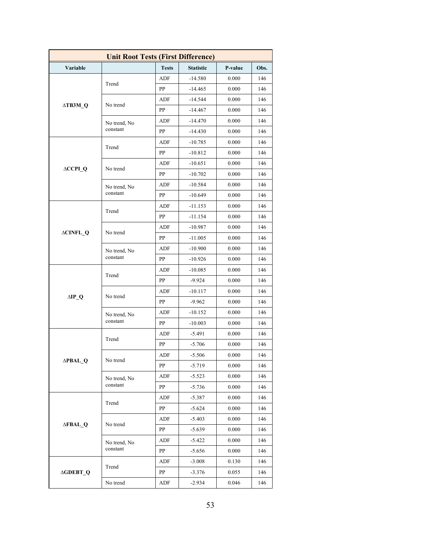| <b>Unit Root Tests (First Difference)</b> |              |              |                  |         |                                                                                                                                                                                           |  |
|-------------------------------------------|--------------|--------------|------------------|---------|-------------------------------------------------------------------------------------------------------------------------------------------------------------------------------------------|--|
| Variable                                  |              | <b>Tests</b> | <b>Statistic</b> | P-value | Obs.                                                                                                                                                                                      |  |
|                                           |              | ADF          | $-14.580$        | 0.000   | 146                                                                                                                                                                                       |  |
| $\triangle$ TB3M Q                        | Trend        | PP           | $-14.465$        | 0.000   | 146                                                                                                                                                                                       |  |
|                                           |              | ADF          | $-14.544$        | 0.000   | 146                                                                                                                                                                                       |  |
|                                           | No trend     | PP           | $-14.467$        | 0.000   | 146                                                                                                                                                                                       |  |
|                                           | No trend, No | ADF          | $-14.470$        | 0.000   | 146                                                                                                                                                                                       |  |
|                                           | constant     | PP           | $-14.430$        | 0.000   | 146<br>146<br>146<br>146<br>146<br>146<br>146<br>146<br>146<br>146<br>146<br>146<br>146<br>146<br>146<br>146<br>146<br>146<br>146<br>146<br>146<br>146<br>146<br>146<br>146<br>146<br>146 |  |
|                                           | Trend        | ADF          | $-10.785$        | 0.000   |                                                                                                                                                                                           |  |
|                                           |              | PP           | $-10.812$        | 0.000   |                                                                                                                                                                                           |  |
| $\triangle CCPI_Q$                        | No trend     | ADF          | $-10.651$        | 0.000   |                                                                                                                                                                                           |  |
|                                           |              | PP           | $-10.702$        | 0.000   |                                                                                                                                                                                           |  |
|                                           | No trend, No | ADF          | $-10.584$        | 0.000   |                                                                                                                                                                                           |  |
|                                           | constant     | PP           | $-10.649$        | 0.000   |                                                                                                                                                                                           |  |
|                                           | Trend        | ADF          | $-11.153$        | 0.000   |                                                                                                                                                                                           |  |
|                                           |              | PP           | $-11.154$        | 0.000   |                                                                                                                                                                                           |  |
| <b>ACINFL_Q</b>                           | No trend     | ADF          | $-10.987$        | 0.000   |                                                                                                                                                                                           |  |
|                                           |              | PP           | $-11.005$        | 0.000   |                                                                                                                                                                                           |  |
|                                           | No trend, No | ADF          | $-10.900$        | 0.000   |                                                                                                                                                                                           |  |
|                                           | constant     | PP           | $-10.926$        | 0.000   |                                                                                                                                                                                           |  |
|                                           | Trend        | ADF          | $-10.085$        | 0.000   |                                                                                                                                                                                           |  |
|                                           |              | PP           | $-9.924$         | 0.000   |                                                                                                                                                                                           |  |
| $\Delta$ IP_Q                             | No trend     | ADF          | -10.117          | 0.000   | 146<br>146                                                                                                                                                                                |  |
|                                           |              | PP           | $-9.962$         | 0.000   |                                                                                                                                                                                           |  |
|                                           | No trend, No | ADF          | $-10.152$        | 0.000   |                                                                                                                                                                                           |  |
|                                           | constant     | PP           | $-10.003$        | 0.000   |                                                                                                                                                                                           |  |
|                                           | Trend        | ADF          | -5.491           | 0.000   |                                                                                                                                                                                           |  |
|                                           |              | PP           | $-5.706$         | 0.000   |                                                                                                                                                                                           |  |
|                                           | No trend     | ADF          | $-5.506$         | 0.000   |                                                                                                                                                                                           |  |
| $\triangle$ PBAL_Q                        |              | PP           | $-5.719$         | 0.000   |                                                                                                                                                                                           |  |
|                                           | No trend, No | ADF          | $-5.523$         | 0.000   |                                                                                                                                                                                           |  |
|                                           | constant     | PP           | $-5.736$         | 0.000   |                                                                                                                                                                                           |  |
|                                           | Trend        | ADF          | $-5.387$         | 0.000   |                                                                                                                                                                                           |  |
| <b>AFBAL Q</b>                            |              | PP           | $-5.624$         | 0.000   |                                                                                                                                                                                           |  |
|                                           | No trend     | ADF          | $-5.403$         | 0.000   | 146<br>146<br>146<br>146<br>146                                                                                                                                                           |  |
|                                           |              | PP           | $-5.639$         | 0.000   |                                                                                                                                                                                           |  |
|                                           | No trend, No | ADF          | $-5.422$         | 0.000   |                                                                                                                                                                                           |  |
|                                           | constant     | PP           | $-5.656$         | 0.000   |                                                                                                                                                                                           |  |
|                                           | Trend        | ADF          | $-3.008$         | 0.130   |                                                                                                                                                                                           |  |
| <b>AGDEBT_Q</b>                           |              | PP           | $-3.376$         | 0.055   |                                                                                                                                                                                           |  |
|                                           | No trend     | ADF          | $-2.934$         | 0.046   |                                                                                                                                                                                           |  |